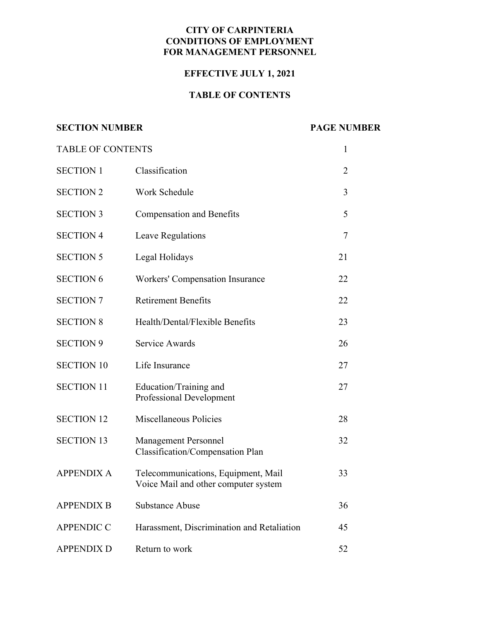#### **CITY OF CARPINTERIA CONDITIONS OF EMPLOYMENT FOR MANAGEMENT PERSONNEL**

## **EFFECTIVE JULY 1, 2021**

# **TABLE OF CONTENTS**

# **SECTION NUMBER PAGE NUMBER**

| <b>TABLE OF CONTENTS</b> |                                                                             | $\mathbf{1}$   |
|--------------------------|-----------------------------------------------------------------------------|----------------|
| <b>SECTION 1</b>         | Classification                                                              | $\overline{2}$ |
| <b>SECTION 2</b>         | Work Schedule                                                               | 3              |
| <b>SECTION 3</b>         | <b>Compensation and Benefits</b>                                            | 5              |
| <b>SECTION 4</b>         | Leave Regulations                                                           | $\tau$         |
| <b>SECTION 5</b>         | Legal Holidays                                                              | 21             |
| <b>SECTION 6</b>         | <b>Workers' Compensation Insurance</b>                                      | 22             |
| <b>SECTION 7</b>         | <b>Retirement Benefits</b>                                                  | 22             |
| <b>SECTION 8</b>         | Health/Dental/Flexible Benefits                                             | 23             |
| <b>SECTION 9</b>         | <b>Service Awards</b>                                                       | 26             |
| <b>SECTION 10</b>        | Life Insurance                                                              | 27             |
| <b>SECTION 11</b>        | Education/Training and<br><b>Professional Development</b>                   | 27             |
| <b>SECTION 12</b>        | Miscellaneous Policies                                                      | 28             |
| <b>SECTION 13</b>        | <b>Management Personnel</b><br>Classification/Compensation Plan             | 32             |
| <b>APPENDIX A</b>        | Telecommunications, Equipment, Mail<br>Voice Mail and other computer system | 33             |
| <b>APPENDIX B</b>        | <b>Substance Abuse</b>                                                      | 36             |
| <b>APPENDIC C</b>        | Harassment, Discrimination and Retaliation                                  | 45             |
| <b>APPENDIX D</b>        | Return to work                                                              | 52             |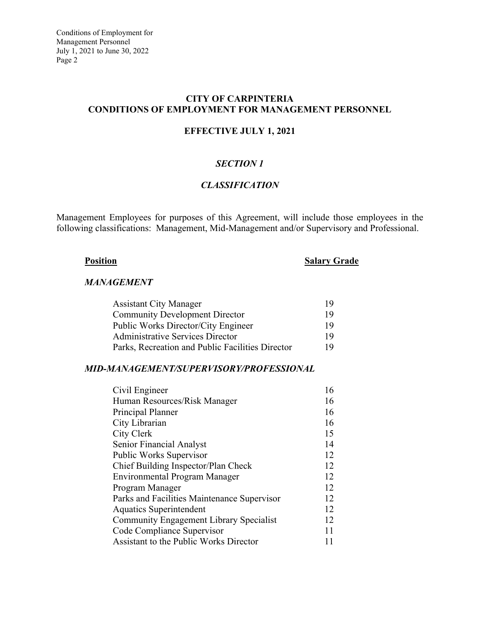#### **CITY OF CARPINTERIA CONDITIONS OF EMPLOYMENT FOR MANAGEMENT PERSONNEL**

#### **EFFECTIVE JULY 1, 2021**

## *SECTION 1*

## *CLASSIFICATION*

Management Employees for purposes of this Agreement, will include those employees in the following classifications: Management, Mid-Management and/or Supervisory and Professional.

# **Position** Salary Grade

#### *MANAGEMENT*

| <b>Assistant City Manager</b>                    | 19 |
|--------------------------------------------------|----|
| <b>Community Development Director</b>            | 19 |
| Public Works Director/City Engineer              | 19 |
| <b>Administrative Services Director</b>          | 19 |
| Parks, Recreation and Public Facilities Director | 19 |

#### *MID-MANAGEMENT/SUPERVISORY/PROFESSIONAL*

| Civil Engineer                                 | 16 |
|------------------------------------------------|----|
| Human Resources/Risk Manager                   | 16 |
| Principal Planner                              | 16 |
| City Librarian                                 | 16 |
| City Clerk                                     | 15 |
| Senior Financial Analyst                       | 14 |
| Public Works Supervisor                        | 12 |
| Chief Building Inspector/Plan Check            | 12 |
| Environmental Program Manager                  | 12 |
| Program Manager                                | 12 |
| Parks and Facilities Maintenance Supervisor    | 12 |
| <b>Aquatics Superintendent</b>                 | 12 |
| <b>Community Engagement Library Specialist</b> | 12 |
| Code Compliance Supervisor                     | 11 |
| <b>Assistant to the Public Works Director</b>  |    |
|                                                |    |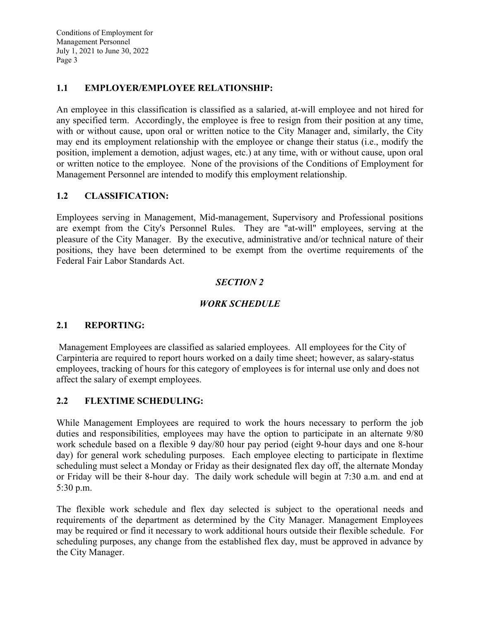## **1.1 EMPLOYER/EMPLOYEE RELATIONSHIP:**

An employee in this classification is classified as a salaried, at-will employee and not hired for any specified term. Accordingly, the employee is free to resign from their position at any time, with or without cause, upon oral or written notice to the City Manager and, similarly, the City may end its employment relationship with the employee or change their status (i.e., modify the position, implement a demotion, adjust wages, etc.) at any time, with or without cause, upon oral or written notice to the employee. None of the provisions of the Conditions of Employment for Management Personnel are intended to modify this employment relationship.

#### **1.2 CLASSIFICATION:**

Employees serving in Management, Mid-management, Supervisory and Professional positions are exempt from the City's Personnel Rules. They are "at-will" employees, serving at the pleasure of the City Manager. By the executive, administrative and/or technical nature of their positions, they have been determined to be exempt from the overtime requirements of the Federal Fair Labor Standards Act.

#### *SECTION 2*

#### *WORK SCHEDULE*

#### **2.1 REPORTING:**

 Management Employees are classified as salaried employees. All employees for the City of Carpinteria are required to report hours worked on a daily time sheet; however, as salary-status employees, tracking of hours for this category of employees is for internal use only and does not affect the salary of exempt employees.

## **2.2 FLEXTIME SCHEDULING:**

While Management Employees are required to work the hours necessary to perform the job duties and responsibilities, employees may have the option to participate in an alternate 9/80 work schedule based on a flexible 9 day/80 hour pay period (eight 9-hour days and one 8-hour day) for general work scheduling purposes. Each employee electing to participate in flextime scheduling must select a Monday or Friday as their designated flex day off, the alternate Monday or Friday will be their 8-hour day. The daily work schedule will begin at 7:30 a.m. and end at 5:30 p.m.

The flexible work schedule and flex day selected is subject to the operational needs and requirements of the department as determined by the City Manager. Management Employees may be required or find it necessary to work additional hours outside their flexible schedule. For scheduling purposes, any change from the established flex day, must be approved in advance by the City Manager.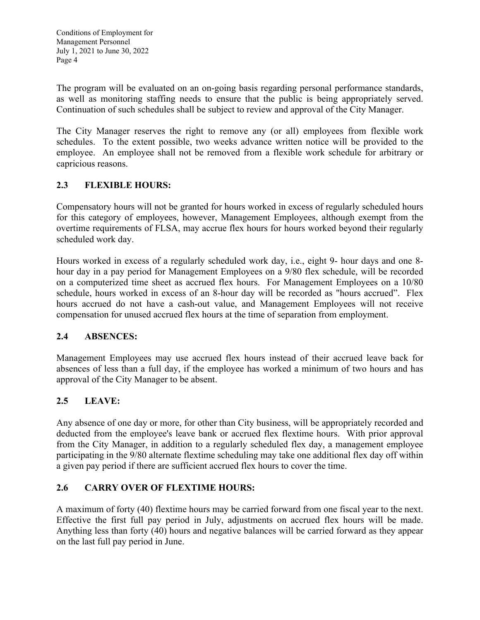The program will be evaluated on an on-going basis regarding personal performance standards, as well as monitoring staffing needs to ensure that the public is being appropriately served. Continuation of such schedules shall be subject to review and approval of the City Manager.

The City Manager reserves the right to remove any (or all) employees from flexible work schedules. To the extent possible, two weeks advance written notice will be provided to the employee. An employee shall not be removed from a flexible work schedule for arbitrary or capricious reasons.

# **2.3 FLEXIBLE HOURS:**

Compensatory hours will not be granted for hours worked in excess of regularly scheduled hours for this category of employees, however, Management Employees, although exempt from the overtime requirements of FLSA, may accrue flex hours for hours worked beyond their regularly scheduled work day.

Hours worked in excess of a regularly scheduled work day, i.e., eight 9- hour days and one 8 hour day in a pay period for Management Employees on a 9/80 flex schedule, will be recorded on a computerized time sheet as accrued flex hours. For Management Employees on a 10/80 schedule, hours worked in excess of an 8-hour day will be recorded as "hours accrued". Flex hours accrued do not have a cash-out value, and Management Employees will not receive compensation for unused accrued flex hours at the time of separation from employment.

# **2.4 ABSENCES:**

Management Employees may use accrued flex hours instead of their accrued leave back for absences of less than a full day, if the employee has worked a minimum of two hours and has approval of the City Manager to be absent.

# **2.5 LEAVE:**

Any absence of one day or more, for other than City business, will be appropriately recorded and deducted from the employee's leave bank or accrued flex flextime hours. With prior approval from the City Manager, in addition to a regularly scheduled flex day, a management employee participating in the 9/80 alternate flextime scheduling may take one additional flex day off within a given pay period if there are sufficient accrued flex hours to cover the time.

# **2.6 CARRY OVER OF FLEXTIME HOURS:**

A maximum of forty (40) flextime hours may be carried forward from one fiscal year to the next. Effective the first full pay period in July, adjustments on accrued flex hours will be made. Anything less than forty (40) hours and negative balances will be carried forward as they appear on the last full pay period in June.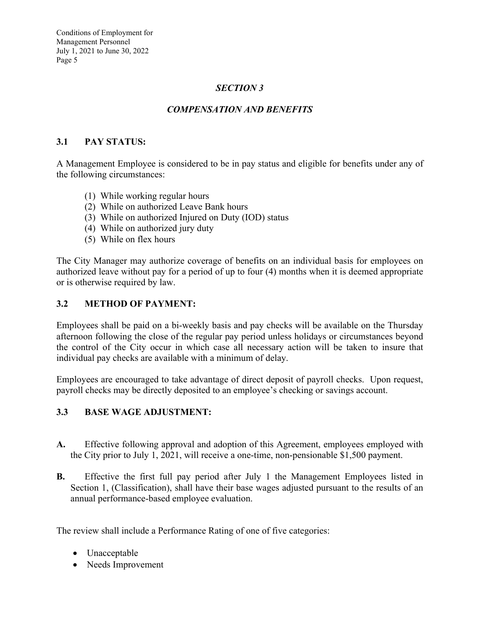# *SECTION 3*

# *COMPENSATION AND BENEFITS*

#### **3.1 PAY STATUS:**

A Management Employee is considered to be in pay status and eligible for benefits under any of the following circumstances:

- (1) While working regular hours
- (2) While on authorized Leave Bank hours
- (3) While on authorized Injured on Duty (IOD) status
- (4) While on authorized jury duty
- (5) While on flex hours

The City Manager may authorize coverage of benefits on an individual basis for employees on authorized leave without pay for a period of up to four (4) months when it is deemed appropriate or is otherwise required by law.

#### **3.2 METHOD OF PAYMENT:**

Employees shall be paid on a bi-weekly basis and pay checks will be available on the Thursday afternoon following the close of the regular pay period unless holidays or circumstances beyond the control of the City occur in which case all necessary action will be taken to insure that individual pay checks are available with a minimum of delay.

Employees are encouraged to take advantage of direct deposit of payroll checks. Upon request, payroll checks may be directly deposited to an employee's checking or savings account.

## **3.3 BASE WAGE ADJUSTMENT:**

- **A.** Effective following approval and adoption of this Agreement, employees employed with the City prior to July 1, 2021, will receive a one-time, non-pensionable \$1,500 payment.
- **B.** Effective the first full pay period after July 1 the Management Employees listed in Section 1, (Classification), shall have their base wages adjusted pursuant to the results of an annual performance-based employee evaluation.

The review shall include a Performance Rating of one of five categories:

- Unacceptable
- Needs Improvement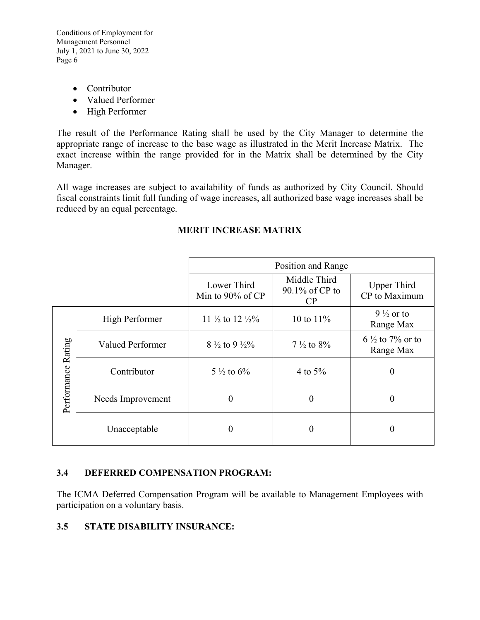- Contributor
- Valued Performer
- High Performer

The result of the Performance Rating shall be used by the City Manager to determine the appropriate range of increase to the base wage as illustrated in the Merit Increase Matrix. The exact increase within the range provided for in the Matrix shall be determined by the City Manager.

All wage increases are subject to availability of funds as authorized by City Council. Should fiscal constraints limit full funding of wage increases, all authorized base wage increases shall be reduced by an equal percentage.

|                    |                       | Position and Range                     |                                      |                                         |  |
|--------------------|-----------------------|----------------------------------------|--------------------------------------|-----------------------------------------|--|
|                    |                       | Lower Third<br>Min to 90% of CP        | Middle Third<br>90.1% of CP to<br>CP | Upper Third<br>CP to Maximum            |  |
| Performance Rating | <b>High Performer</b> | 11 $\frac{1}{2}$ to 12 $\frac{1}{2}\%$ | 10 to $11\%$                         | $9\frac{1}{2}$ or to<br>Range Max       |  |
|                    | Valued Performer      | $8\frac{1}{2}$ to 9 $\frac{1}{2}\%$    | $7\frac{1}{2}$ to $8\%$              | $6\frac{1}{2}$ to 7% or to<br>Range Max |  |
|                    | Contributor           | $5\frac{1}{2}$ to $6\%$                | 4 to $5%$                            | $\boldsymbol{0}$                        |  |
|                    | Needs Improvement     | $\boldsymbol{0}$                       | $\boldsymbol{0}$                     | 0                                       |  |
|                    | Unacceptable          | $\boldsymbol{0}$                       | $\boldsymbol{0}$                     | $\theta$                                |  |

# **MERIT INCREASE MATRIX**

## **3.4 DEFERRED COMPENSATION PROGRAM:**

The ICMA Deferred Compensation Program will be available to Management Employees with participation on a voluntary basis.

## **3.5 STATE DISABILITY INSURANCE:**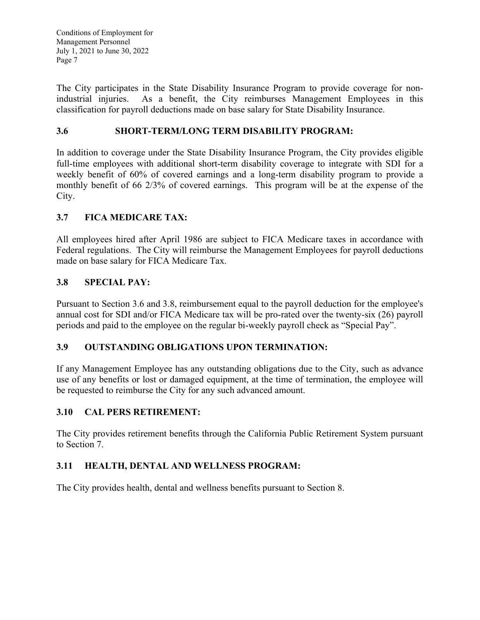The City participates in the State Disability Insurance Program to provide coverage for nonindustrial injuries. As a benefit, the City reimburses Management Employees in this classification for payroll deductions made on base salary for State Disability Insurance.

# **3.6 SHORT-TERM/LONG TERM DISABILITY PROGRAM:**

In addition to coverage under the State Disability Insurance Program, the City provides eligible full-time employees with additional short-term disability coverage to integrate with SDI for a weekly benefit of 60% of covered earnings and a long-term disability program to provide a monthly benefit of 66 2/3% of covered earnings. This program will be at the expense of the City.

# **3.7 FICA MEDICARE TAX:**

All employees hired after April 1986 are subject to FICA Medicare taxes in accordance with Federal regulations. The City will reimburse the Management Employees for payroll deductions made on base salary for FICA Medicare Tax.

# **3.8 SPECIAL PAY:**

Pursuant to Section 3.6 and 3.8, reimbursement equal to the payroll deduction for the employee's annual cost for SDI and/or FICA Medicare tax will be pro-rated over the twenty-six (26) payroll periods and paid to the employee on the regular bi-weekly payroll check as "Special Pay".

## **3.9 OUTSTANDING OBLIGATIONS UPON TERMINATION:**

If any Management Employee has any outstanding obligations due to the City, such as advance use of any benefits or lost or damaged equipment, at the time of termination, the employee will be requested to reimburse the City for any such advanced amount.

## **3.10 CAL PERS RETIREMENT:**

The City provides retirement benefits through the California Public Retirement System pursuant to Section 7.

## **3.11 HEALTH, DENTAL AND WELLNESS PROGRAM:**

The City provides health, dental and wellness benefits pursuant to Section 8.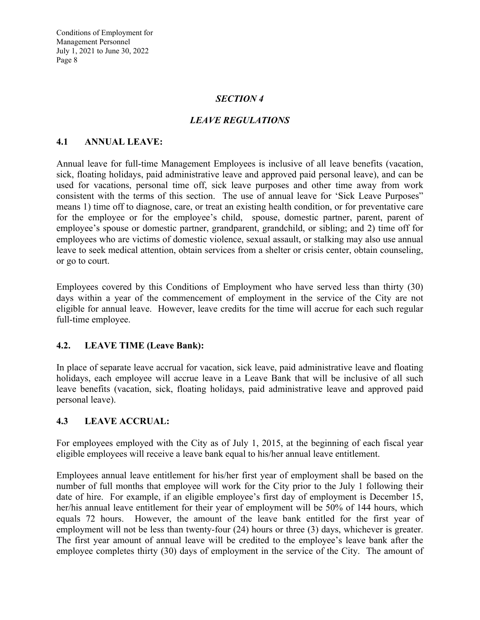#### *SECTION 4*

## *LEAVE REGULATIONS*

#### **4.1 ANNUAL LEAVE:**

Annual leave for full-time Management Employees is inclusive of all leave benefits (vacation, sick, floating holidays, paid administrative leave and approved paid personal leave), and can be used for vacations, personal time off, sick leave purposes and other time away from work consistent with the terms of this section. The use of annual leave for 'Sick Leave Purposes" means 1) time off to diagnose, care, or treat an existing health condition, or for preventative care for the employee or for the employee's child, spouse, domestic partner, parent, parent of employee's spouse or domestic partner, grandparent, grandchild, or sibling; and 2) time off for employees who are victims of domestic violence, sexual assault, or stalking may also use annual leave to seek medical attention, obtain services from a shelter or crisis center, obtain counseling, or go to court.

Employees covered by this Conditions of Employment who have served less than thirty (30) days within a year of the commencement of employment in the service of the City are not eligible for annual leave. However, leave credits for the time will accrue for each such regular full-time employee.

#### **4.2. LEAVE TIME (Leave Bank):**

In place of separate leave accrual for vacation, sick leave, paid administrative leave and floating holidays, each employee will accrue leave in a Leave Bank that will be inclusive of all such leave benefits (vacation, sick, floating holidays, paid administrative leave and approved paid personal leave).

#### **4.3 LEAVE ACCRUAL:**

For employees employed with the City as of July 1, 2015, at the beginning of each fiscal year eligible employees will receive a leave bank equal to his/her annual leave entitlement.

Employees annual leave entitlement for his/her first year of employment shall be based on the number of full months that employee will work for the City prior to the July 1 following their date of hire. For example, if an eligible employee's first day of employment is December 15, her/his annual leave entitlement for their year of employment will be 50% of 144 hours, which equals 72 hours. However, the amount of the leave bank entitled for the first year of employment will not be less than twenty-four (24) hours or three (3) days, whichever is greater. The first year amount of annual leave will be credited to the employee's leave bank after the employee completes thirty (30) days of employment in the service of the City. The amount of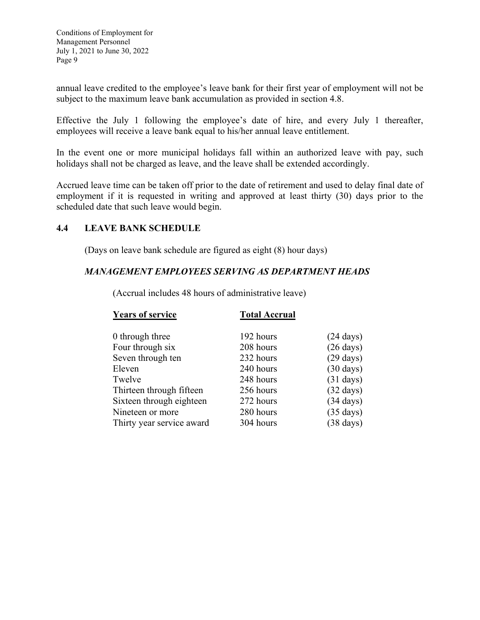annual leave credited to the employee's leave bank for their first year of employment will not be subject to the maximum leave bank accumulation as provided in section 4.8.

Effective the July 1 following the employee's date of hire, and every July 1 thereafter, employees will receive a leave bank equal to his/her annual leave entitlement.

In the event one or more municipal holidays fall within an authorized leave with pay, such holidays shall not be charged as leave, and the leave shall be extended accordingly.

Accrued leave time can be taken off prior to the date of retirement and used to delay final date of employment if it is requested in writing and approved at least thirty (30) days prior to the scheduled date that such leave would begin.

## **4.4 LEAVE BANK SCHEDULE**

(Days on leave bank schedule are figured as eight (8) hour days)

## *MANAGEMENT EMPLOYEES SERVING AS DEPARTMENT HEADS*

| <b>Years of service</b>   | <b>Total Accrual</b> |                     |
|---------------------------|----------------------|---------------------|
| 0 through three           | 192 hours            | $(24 \text{ days})$ |
| Four through six          | 208 hours            | $(26 \text{ days})$ |
| Seven through ten         | 232 hours            | $(29 \text{ days})$ |
| Eleven                    | 240 hours            | $(30 \text{ days})$ |
| Twelve                    | 248 hours            | $(31 \text{ days})$ |
| Thirteen through fifteen  | 256 hours            | $(32 \text{ days})$ |
| Sixteen through eighteen  | 272 hours            | $(34 \text{ days})$ |
| Nineteen or more          | 280 hours            | $(35 \text{ days})$ |
| Thirty year service award | 304 hours            | $(38 \text{ days})$ |

(Accrual includes 48 hours of administrative leave)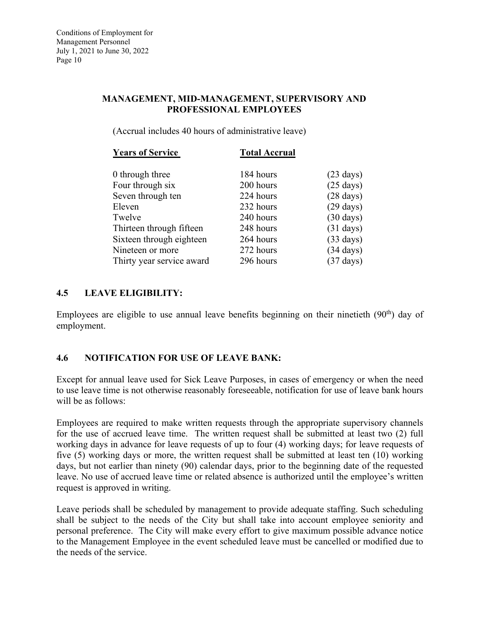## **MANAGEMENT, MID-MANAGEMENT, SUPERVISORY AND PROFESSIONAL EMPLOYEES**

(Accrual includes 40 hours of administrative leave)

| <b>Total Accrual</b> |                     |
|----------------------|---------------------|
| 184 hours            | $(23 \text{ days})$ |
| 200 hours            | $(25 \text{ days})$ |
| 224 hours            | $(28 \text{ days})$ |
| 232 hours            | $(29 \text{ days})$ |
| 240 hours            | $(30 \text{ days})$ |
| 248 hours            | $(31 \text{ days})$ |
| 264 hours            | $(33 \text{ days})$ |
| 272 hours            | $(34 \text{ days})$ |
| 296 hours            | $(37 \text{ days})$ |
|                      |                     |

# **4.5 LEAVE ELIGIBILITY:**

Employees are eligible to use annual leave benefits beginning on their ninetieth  $(90<sup>th</sup>)$  day of employment.

# **4.6 NOTIFICATION FOR USE OF LEAVE BANK:**

Except for annual leave used for Sick Leave Purposes, in cases of emergency or when the need to use leave time is not otherwise reasonably foreseeable, notification for use of leave bank hours will be as follows:

Employees are required to make written requests through the appropriate supervisory channels for the use of accrued leave time. The written request shall be submitted at least two (2) full working days in advance for leave requests of up to four (4) working days; for leave requests of five (5) working days or more, the written request shall be submitted at least ten (10) working days, but not earlier than ninety (90) calendar days, prior to the beginning date of the requested leave. No use of accrued leave time or related absence is authorized until the employee's written request is approved in writing.

Leave periods shall be scheduled by management to provide adequate staffing. Such scheduling shall be subject to the needs of the City but shall take into account employee seniority and personal preference. The City will make every effort to give maximum possible advance notice to the Management Employee in the event scheduled leave must be cancelled or modified due to the needs of the service.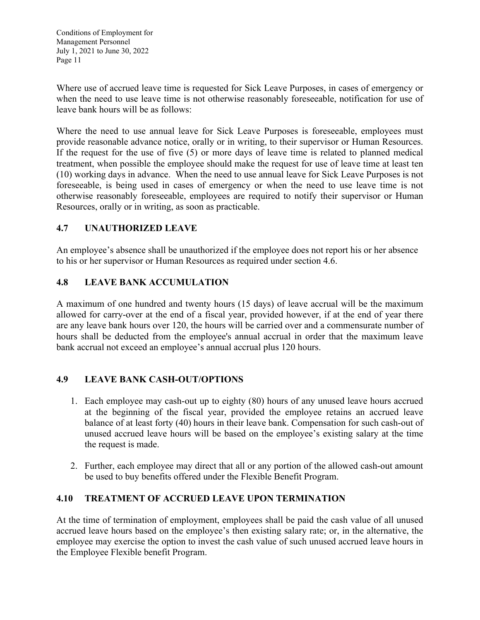Where use of accrued leave time is requested for Sick Leave Purposes, in cases of emergency or when the need to use leave time is not otherwise reasonably foreseeable, notification for use of leave bank hours will be as follows:

Where the need to use annual leave for Sick Leave Purposes is foreseeable, employees must provide reasonable advance notice, orally or in writing, to their supervisor or Human Resources. If the request for the use of five (5) or more days of leave time is related to planned medical treatment, when possible the employee should make the request for use of leave time at least ten (10) working days in advance. When the need to use annual leave for Sick Leave Purposes is not foreseeable, is being used in cases of emergency or when the need to use leave time is not otherwise reasonably foreseeable, employees are required to notify their supervisor or Human Resources, orally or in writing, as soon as practicable.

# **4.7 UNAUTHORIZED LEAVE**

An employee's absence shall be unauthorized if the employee does not report his or her absence to his or her supervisor or Human Resources as required under section 4.6.

## **4.8 LEAVE BANK ACCUMULATION**

A maximum of one hundred and twenty hours (15 days) of leave accrual will be the maximum allowed for carry-over at the end of a fiscal year, provided however, if at the end of year there are any leave bank hours over 120, the hours will be carried over and a commensurate number of hours shall be deducted from the employee's annual accrual in order that the maximum leave bank accrual not exceed an employee's annual accrual plus 120 hours.

## **4.9 LEAVE BANK CASH-OUT/OPTIONS**

- 1. Each employee may cash-out up to eighty (80) hours of any unused leave hours accrued at the beginning of the fiscal year, provided the employee retains an accrued leave balance of at least forty (40) hours in their leave bank. Compensation for such cash-out of unused accrued leave hours will be based on the employee's existing salary at the time the request is made.
- 2. Further, each employee may direct that all or any portion of the allowed cash-out amount be used to buy benefits offered under the Flexible Benefit Program.

## **4.10 TREATMENT OF ACCRUED LEAVE UPON TERMINATION**

At the time of termination of employment, employees shall be paid the cash value of all unused accrued leave hours based on the employee's then existing salary rate; or, in the alternative, the employee may exercise the option to invest the cash value of such unused accrued leave hours in the Employee Flexible benefit Program.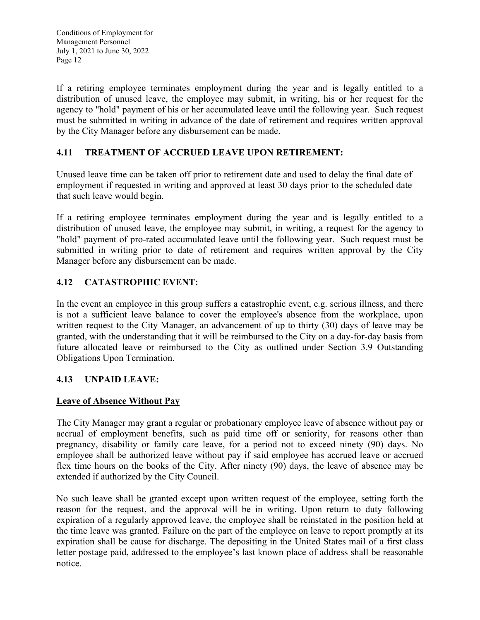If a retiring employee terminates employment during the year and is legally entitled to a distribution of unused leave, the employee may submit, in writing, his or her request for the agency to "hold" payment of his or her accumulated leave until the following year. Such request must be submitted in writing in advance of the date of retirement and requires written approval by the City Manager before any disbursement can be made.

# **4.11 TREATMENT OF ACCRUED LEAVE UPON RETIREMENT:**

Unused leave time can be taken off prior to retirement date and used to delay the final date of employment if requested in writing and approved at least 30 days prior to the scheduled date that such leave would begin.

If a retiring employee terminates employment during the year and is legally entitled to a distribution of unused leave, the employee may submit, in writing, a request for the agency to "hold" payment of pro-rated accumulated leave until the following year. Such request must be submitted in writing prior to date of retirement and requires written approval by the City Manager before any disbursement can be made.

# **4.12 CATASTROPHIC EVENT:**

In the event an employee in this group suffers a catastrophic event, e.g. serious illness, and there is not a sufficient leave balance to cover the employee's absence from the workplace, upon written request to the City Manager, an advancement of up to thirty (30) days of leave may be granted, with the understanding that it will be reimbursed to the City on a day-for-day basis from future allocated leave or reimbursed to the City as outlined under Section 3.9 Outstanding Obligations Upon Termination.

## **4.13 UNPAID LEAVE:**

## **Leave of Absence Without Pay**

The City Manager may grant a regular or probationary employee leave of absence without pay or accrual of employment benefits, such as paid time off or seniority, for reasons other than pregnancy, disability or family care leave, for a period not to exceed ninety (90) days. No employee shall be authorized leave without pay if said employee has accrued leave or accrued flex time hours on the books of the City. After ninety (90) days, the leave of absence may be extended if authorized by the City Council.

No such leave shall be granted except upon written request of the employee, setting forth the reason for the request, and the approval will be in writing. Upon return to duty following expiration of a regularly approved leave, the employee shall be reinstated in the position held at the time leave was granted. Failure on the part of the employee on leave to report promptly at its expiration shall be cause for discharge. The depositing in the United States mail of a first class letter postage paid, addressed to the employee's last known place of address shall be reasonable notice.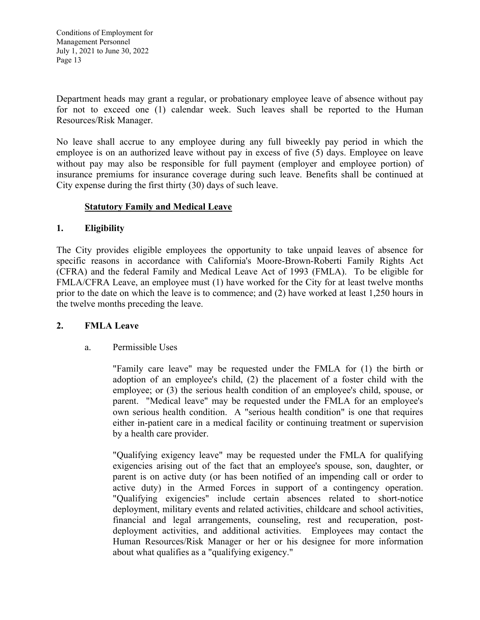Department heads may grant a regular, or probationary employee leave of absence without pay for not to exceed one (1) calendar week. Such leaves shall be reported to the Human Resources/Risk Manager.

No leave shall accrue to any employee during any full biweekly pay period in which the employee is on an authorized leave without pay in excess of five (5) days. Employee on leave without pay may also be responsible for full payment (employer and employee portion) of insurance premiums for insurance coverage during such leave. Benefits shall be continued at City expense during the first thirty (30) days of such leave.

#### **Statutory Family and Medical Leave**

#### **1. Eligibility**

The City provides eligible employees the opportunity to take unpaid leaves of absence for specific reasons in accordance with California's Moore-Brown-Roberti Family Rights Act (CFRA) and the federal Family and Medical Leave Act of 1993 (FMLA). To be eligible for FMLA/CFRA Leave, an employee must (1) have worked for the City for at least twelve months prior to the date on which the leave is to commence; and (2) have worked at least 1,250 hours in the twelve months preceding the leave.

#### **2. FMLA Leave**

#### a. Permissible Uses

 "Family care leave" may be requested under the FMLA for (1) the birth or adoption of an employee's child, (2) the placement of a foster child with the employee; or (3) the serious health condition of an employee's child, spouse, or parent. "Medical leave" may be requested under the FMLA for an employee's own serious health condition. A "serious health condition" is one that requires either in-patient care in a medical facility or continuing treatment or supervision by a health care provider.

"Qualifying exigency leave" may be requested under the FMLA for qualifying exigencies arising out of the fact that an employee's spouse, son, daughter, or parent is on active duty (or has been notified of an impending call or order to active duty) in the Armed Forces in support of a contingency operation. "Qualifying exigencies" include certain absences related to short-notice deployment, military events and related activities, childcare and school activities, financial and legal arrangements, counseling, rest and recuperation, postdeployment activities, and additional activities. Employees may contact the Human Resources/Risk Manager or her or his designee for more information about what qualifies as a "qualifying exigency."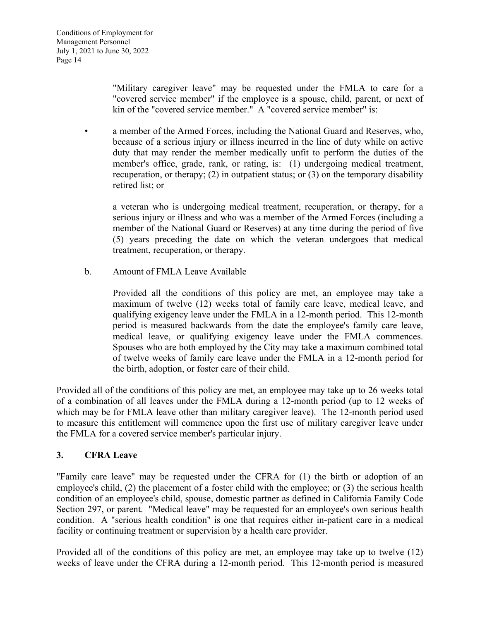"Military caregiver leave" may be requested under the FMLA to care for a "covered service member" if the employee is a spouse, child, parent, or next of kin of the "covered service member." A "covered service member" is:

• a member of the Armed Forces, including the National Guard and Reserves, who, because of a serious injury or illness incurred in the line of duty while on active duty that may render the member medically unfit to perform the duties of the member's office, grade, rank, or rating, is: (1) undergoing medical treatment, recuperation, or therapy; (2) in outpatient status; or (3) on the temporary disability retired list; or

 a veteran who is undergoing medical treatment, recuperation, or therapy, for a serious injury or illness and who was a member of the Armed Forces (including a member of the National Guard or Reserves) at any time during the period of five (5) years preceding the date on which the veteran undergoes that medical treatment, recuperation, or therapy.

b. Amount of FMLA Leave Available

Provided all the conditions of this policy are met, an employee may take a maximum of twelve (12) weeks total of family care leave, medical leave, and qualifying exigency leave under the FMLA in a 12-month period. This 12-month period is measured backwards from the date the employee's family care leave, medical leave, or qualifying exigency leave under the FMLA commences. Spouses who are both employed by the City may take a maximum combined total of twelve weeks of family care leave under the FMLA in a 12-month period for the birth, adoption, or foster care of their child.

Provided all of the conditions of this policy are met, an employee may take up to 26 weeks total of a combination of all leaves under the FMLA during a 12-month period (up to 12 weeks of which may be for FMLA leave other than military caregiver leave). The 12-month period used to measure this entitlement will commence upon the first use of military caregiver leave under the FMLA for a covered service member's particular injury.

## **3. CFRA Leave**

"Family care leave" may be requested under the CFRA for (1) the birth or adoption of an employee's child, (2) the placement of a foster child with the employee; or (3) the serious health condition of an employee's child, spouse, domestic partner as defined in California Family Code Section 297, or parent. "Medical leave" may be requested for an employee's own serious health condition. A "serious health condition" is one that requires either in-patient care in a medical facility or continuing treatment or supervision by a health care provider.

Provided all of the conditions of this policy are met, an employee may take up to twelve (12) weeks of leave under the CFRA during a 12-month period. This 12-month period is measured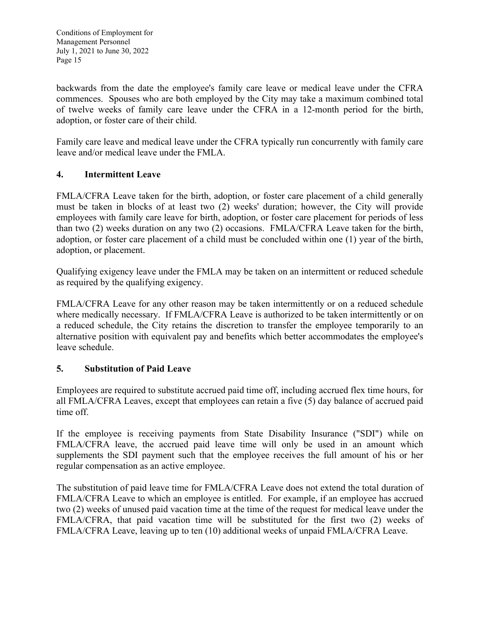backwards from the date the employee's family care leave or medical leave under the CFRA commences. Spouses who are both employed by the City may take a maximum combined total of twelve weeks of family care leave under the CFRA in a 12-month period for the birth, adoption, or foster care of their child.

Family care leave and medical leave under the CFRA typically run concurrently with family care leave and/or medical leave under the FMLA.

## **4. Intermittent Leave**

FMLA/CFRA Leave taken for the birth, adoption, or foster care placement of a child generally must be taken in blocks of at least two (2) weeks' duration; however, the City will provide employees with family care leave for birth, adoption, or foster care placement for periods of less than two (2) weeks duration on any two (2) occasions. FMLA/CFRA Leave taken for the birth, adoption, or foster care placement of a child must be concluded within one (1) year of the birth, adoption, or placement.

Qualifying exigency leave under the FMLA may be taken on an intermittent or reduced schedule as required by the qualifying exigency.

FMLA/CFRA Leave for any other reason may be taken intermittently or on a reduced schedule where medically necessary. If FMLA/CFRA Leave is authorized to be taken intermittently or on a reduced schedule, the City retains the discretion to transfer the employee temporarily to an alternative position with equivalent pay and benefits which better accommodates the employee's leave schedule.

## **5. Substitution of Paid Leave**

Employees are required to substitute accrued paid time off, including accrued flex time hours, for all FMLA/CFRA Leaves, except that employees can retain a five (5) day balance of accrued paid time off.

If the employee is receiving payments from State Disability Insurance ("SDI") while on FMLA/CFRA leave, the accrued paid leave time will only be used in an amount which supplements the SDI payment such that the employee receives the full amount of his or her regular compensation as an active employee.

The substitution of paid leave time for FMLA/CFRA Leave does not extend the total duration of FMLA/CFRA Leave to which an employee is entitled. For example, if an employee has accrued two (2) weeks of unused paid vacation time at the time of the request for medical leave under the FMLA/CFRA, that paid vacation time will be substituted for the first two (2) weeks of FMLA/CFRA Leave, leaving up to ten (10) additional weeks of unpaid FMLA/CFRA Leave.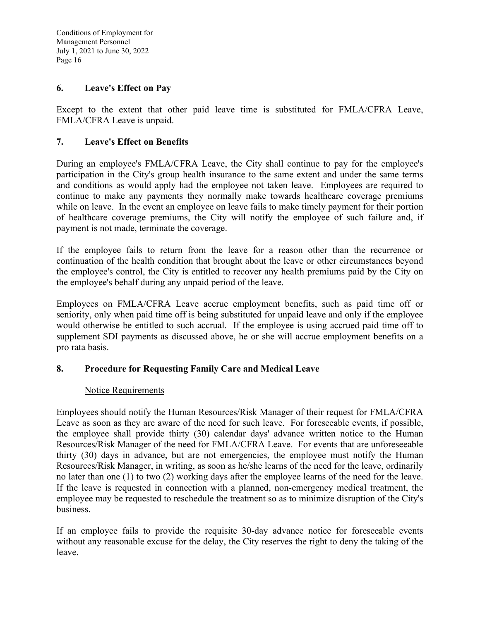#### **6. Leave's Effect on Pay**

Except to the extent that other paid leave time is substituted for FMLA/CFRA Leave, FMLA/CFRA Leave is unpaid.

#### **7. Leave's Effect on Benefits**

During an employee's FMLA/CFRA Leave, the City shall continue to pay for the employee's participation in the City's group health insurance to the same extent and under the same terms and conditions as would apply had the employee not taken leave. Employees are required to continue to make any payments they normally make towards healthcare coverage premiums while on leave. In the event an employee on leave fails to make timely payment for their portion of healthcare coverage premiums, the City will notify the employee of such failure and, if payment is not made, terminate the coverage.

If the employee fails to return from the leave for a reason other than the recurrence or continuation of the health condition that brought about the leave or other circumstances beyond the employee's control, the City is entitled to recover any health premiums paid by the City on the employee's behalf during any unpaid period of the leave.

Employees on FMLA/CFRA Leave accrue employment benefits, such as paid time off or seniority, only when paid time off is being substituted for unpaid leave and only if the employee would otherwise be entitled to such accrual. If the employee is using accrued paid time off to supplement SDI payments as discussed above, he or she will accrue employment benefits on a pro rata basis.

#### **8. Procedure for Requesting Family Care and Medical Leave**

#### Notice Requirements

Employees should notify the Human Resources/Risk Manager of their request for FMLA/CFRA Leave as soon as they are aware of the need for such leave. For foreseeable events, if possible, the employee shall provide thirty (30) calendar days' advance written notice to the Human Resources/Risk Manager of the need for FMLA/CFRA Leave. For events that are unforeseeable thirty (30) days in advance, but are not emergencies, the employee must notify the Human Resources/Risk Manager, in writing, as soon as he/she learns of the need for the leave, ordinarily no later than one (1) to two (2) working days after the employee learns of the need for the leave. If the leave is requested in connection with a planned, non-emergency medical treatment, the employee may be requested to reschedule the treatment so as to minimize disruption of the City's business.

If an employee fails to provide the requisite 30-day advance notice for foreseeable events without any reasonable excuse for the delay, the City reserves the right to deny the taking of the leave.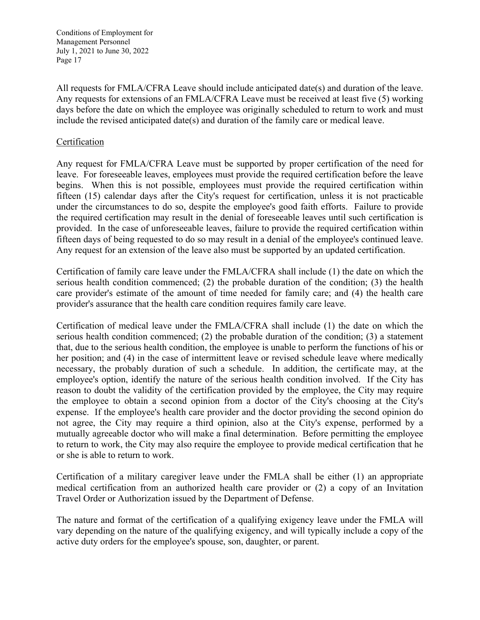All requests for FMLA/CFRA Leave should include anticipated date(s) and duration of the leave. Any requests for extensions of an FMLA/CFRA Leave must be received at least five (5) working days before the date on which the employee was originally scheduled to return to work and must include the revised anticipated date(s) and duration of the family care or medical leave.

#### **Certification**

Any request for FMLA/CFRA Leave must be supported by proper certification of the need for leave. For foreseeable leaves, employees must provide the required certification before the leave begins. When this is not possible, employees must provide the required certification within fifteen (15) calendar days after the City's request for certification, unless it is not practicable under the circumstances to do so, despite the employee's good faith efforts. Failure to provide the required certification may result in the denial of foreseeable leaves until such certification is provided. In the case of unforeseeable leaves, failure to provide the required certification within fifteen days of being requested to do so may result in a denial of the employee's continued leave. Any request for an extension of the leave also must be supported by an updated certification.

Certification of family care leave under the FMLA/CFRA shall include (1) the date on which the serious health condition commenced; (2) the probable duration of the condition; (3) the health care provider's estimate of the amount of time needed for family care; and (4) the health care provider's assurance that the health care condition requires family care leave.

Certification of medical leave under the FMLA/CFRA shall include (1) the date on which the serious health condition commenced; (2) the probable duration of the condition; (3) a statement that, due to the serious health condition, the employee is unable to perform the functions of his or her position; and (4) in the case of intermittent leave or revised schedule leave where medically necessary, the probably duration of such a schedule. In addition, the certificate may, at the employee's option, identify the nature of the serious health condition involved. If the City has reason to doubt the validity of the certification provided by the employee, the City may require the employee to obtain a second opinion from a doctor of the City's choosing at the City's expense. If the employee's health care provider and the doctor providing the second opinion do not agree, the City may require a third opinion, also at the City's expense, performed by a mutually agreeable doctor who will make a final determination. Before permitting the employee to return to work, the City may also require the employee to provide medical certification that he or she is able to return to work.

Certification of a military caregiver leave under the FMLA shall be either (1) an appropriate medical certification from an authorized health care provider or (2) a copy of an Invitation Travel Order or Authorization issued by the Department of Defense.

The nature and format of the certification of a qualifying exigency leave under the FMLA will vary depending on the nature of the qualifying exigency, and will typically include a copy of the active duty orders for the employee's spouse, son, daughter, or parent.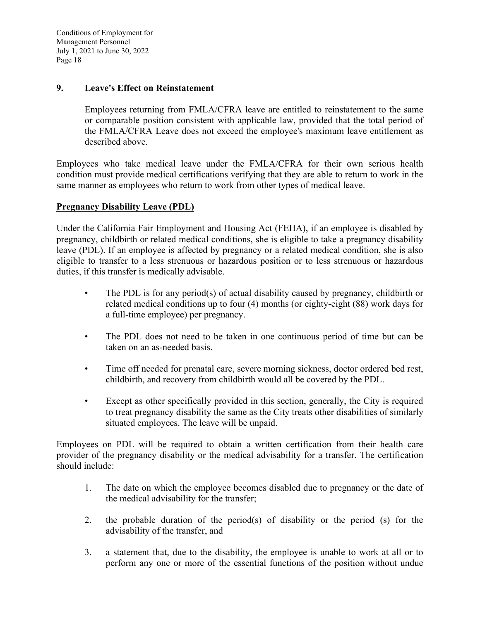#### **9. Leave's Effect on Reinstatement**

 Employees returning from FMLA/CFRA leave are entitled to reinstatement to the same or comparable position consistent with applicable law, provided that the total period of the FMLA/CFRA Leave does not exceed the employee's maximum leave entitlement as described above.

Employees who take medical leave under the FMLA/CFRA for their own serious health condition must provide medical certifications verifying that they are able to return to work in the same manner as employees who return to work from other types of medical leave.

#### **Pregnancy Disability Leave (PDL)**

Under the California Fair Employment and Housing Act (FEHA), if an employee is disabled by pregnancy, childbirth or related medical conditions, she is eligible to take a pregnancy disability leave (PDL). If an employee is affected by pregnancy or a related medical condition, she is also eligible to transfer to a less strenuous or hazardous position or to less strenuous or hazardous duties, if this transfer is medically advisable.

- The PDL is for any period(s) of actual disability caused by pregnancy, childbirth or related medical conditions up to four (4) months (or eighty-eight (88) work days for a full-time employee) per pregnancy.
- The PDL does not need to be taken in one continuous period of time but can be taken on an as-needed basis.
- Time off needed for prenatal care, severe morning sickness, doctor ordered bed rest, childbirth, and recovery from childbirth would all be covered by the PDL.
- Except as other specifically provided in this section, generally, the City is required to treat pregnancy disability the same as the City treats other disabilities of similarly situated employees. The leave will be unpaid.

Employees on PDL will be required to obtain a written certification from their health care provider of the pregnancy disability or the medical advisability for a transfer. The certification should include:

- 1. The date on which the employee becomes disabled due to pregnancy or the date of the medical advisability for the transfer;
- 2. the probable duration of the period(s) of disability or the period (s) for the advisability of the transfer, and
- 3. a statement that, due to the disability, the employee is unable to work at all or to perform any one or more of the essential functions of the position without undue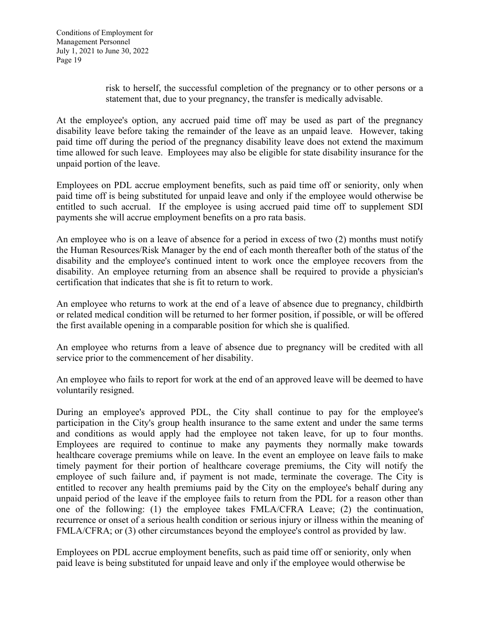risk to herself, the successful completion of the pregnancy or to other persons or a statement that, due to your pregnancy, the transfer is medically advisable.

At the employee's option, any accrued paid time off may be used as part of the pregnancy disability leave before taking the remainder of the leave as an unpaid leave. However, taking paid time off during the period of the pregnancy disability leave does not extend the maximum time allowed for such leave. Employees may also be eligible for state disability insurance for the unpaid portion of the leave.

Employees on PDL accrue employment benefits, such as paid time off or seniority, only when paid time off is being substituted for unpaid leave and only if the employee would otherwise be entitled to such accrual. If the employee is using accrued paid time off to supplement SDI payments she will accrue employment benefits on a pro rata basis.

An employee who is on a leave of absence for a period in excess of two (2) months must notify the Human Resources/Risk Manager by the end of each month thereafter both of the status of the disability and the employee's continued intent to work once the employee recovers from the disability. An employee returning from an absence shall be required to provide a physician's certification that indicates that she is fit to return to work.

An employee who returns to work at the end of a leave of absence due to pregnancy, childbirth or related medical condition will be returned to her former position, if possible, or will be offered the first available opening in a comparable position for which she is qualified.

An employee who returns from a leave of absence due to pregnancy will be credited with all service prior to the commencement of her disability.

An employee who fails to report for work at the end of an approved leave will be deemed to have voluntarily resigned.

During an employee's approved PDL, the City shall continue to pay for the employee's participation in the City's group health insurance to the same extent and under the same terms and conditions as would apply had the employee not taken leave, for up to four months. Employees are required to continue to make any payments they normally make towards healthcare coverage premiums while on leave. In the event an employee on leave fails to make timely payment for their portion of healthcare coverage premiums, the City will notify the employee of such failure and, if payment is not made, terminate the coverage. The City is entitled to recover any health premiums paid by the City on the employee's behalf during any unpaid period of the leave if the employee fails to return from the PDL for a reason other than one of the following: (1) the employee takes FMLA/CFRA Leave; (2) the continuation, recurrence or onset of a serious health condition or serious injury or illness within the meaning of FMLA/CFRA; or (3) other circumstances beyond the employee's control as provided by law.

Employees on PDL accrue employment benefits, such as paid time off or seniority, only when paid leave is being substituted for unpaid leave and only if the employee would otherwise be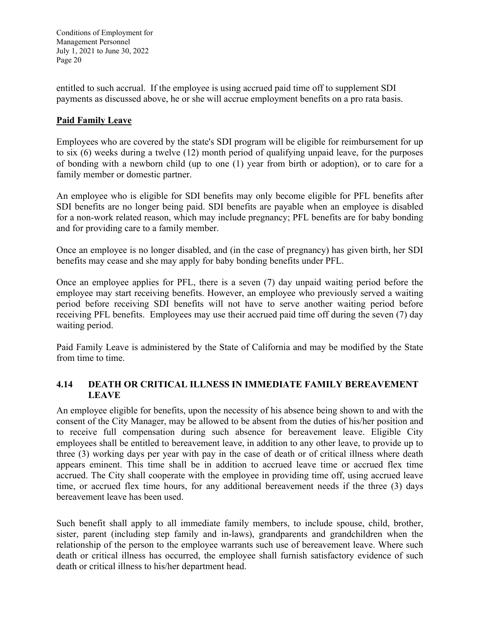entitled to such accrual. If the employee is using accrued paid time off to supplement SDI payments as discussed above, he or she will accrue employment benefits on a pro rata basis.

## **Paid Family Leave**

Employees who are covered by the state's SDI program will be eligible for reimbursement for up to six (6) weeks during a twelve (12) month period of qualifying unpaid leave, for the purposes of bonding with a newborn child (up to one (1) year from birth or adoption), or to care for a family member or domestic partner.

An employee who is eligible for SDI benefits may only become eligible for PFL benefits after SDI benefits are no longer being paid. SDI benefits are payable when an employee is disabled for a non-work related reason, which may include pregnancy; PFL benefits are for baby bonding and for providing care to a family member.

Once an employee is no longer disabled, and (in the case of pregnancy) has given birth, her SDI benefits may cease and she may apply for baby bonding benefits under PFL.

Once an employee applies for PFL, there is a seven (7) day unpaid waiting period before the employee may start receiving benefits. However, an employee who previously served a waiting period before receiving SDI benefits will not have to serve another waiting period before receiving PFL benefits. Employees may use their accrued paid time off during the seven (7) day waiting period.

Paid Family Leave is administered by the State of California and may be modified by the State from time to time.

## **4.14 DEATH OR CRITICAL ILLNESS IN IMMEDIATE FAMILY BEREAVEMENT LEAVE**

An employee eligible for benefits, upon the necessity of his absence being shown to and with the consent of the City Manager, may be allowed to be absent from the duties of his/her position and to receive full compensation during such absence for bereavement leave. Eligible City employees shall be entitled to bereavement leave, in addition to any other leave, to provide up to three (3) working days per year with pay in the case of death or of critical illness where death appears eminent. This time shall be in addition to accrued leave time or accrued flex time accrued. The City shall cooperate with the employee in providing time off, using accrued leave time, or accrued flex time hours, for any additional bereavement needs if the three (3) days bereavement leave has been used.

Such benefit shall apply to all immediate family members, to include spouse, child, brother, sister, parent (including step family and in-laws), grandparents and grandchildren when the relationship of the person to the employee warrants such use of bereavement leave. Where such death or critical illness has occurred, the employee shall furnish satisfactory evidence of such death or critical illness to his/her department head.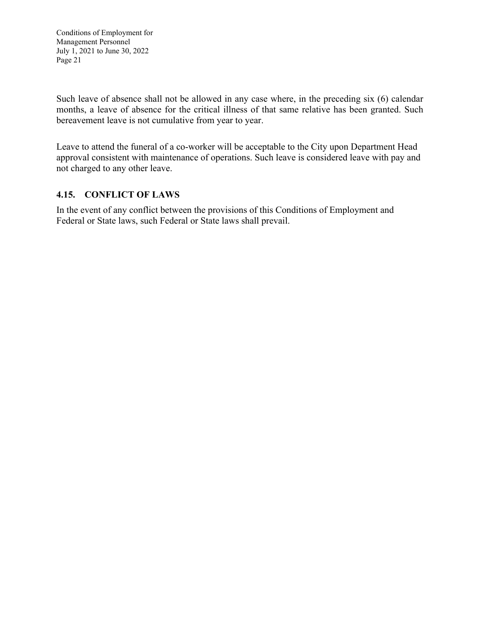Such leave of absence shall not be allowed in any case where, in the preceding six (6) calendar months, a leave of absence for the critical illness of that same relative has been granted. Such bereavement leave is not cumulative from year to year.

Leave to attend the funeral of a co-worker will be acceptable to the City upon Department Head approval consistent with maintenance of operations. Such leave is considered leave with pay and not charged to any other leave.

# **4.15. CONFLICT OF LAWS**

In the event of any conflict between the provisions of this Conditions of Employment and Federal or State laws, such Federal or State laws shall prevail.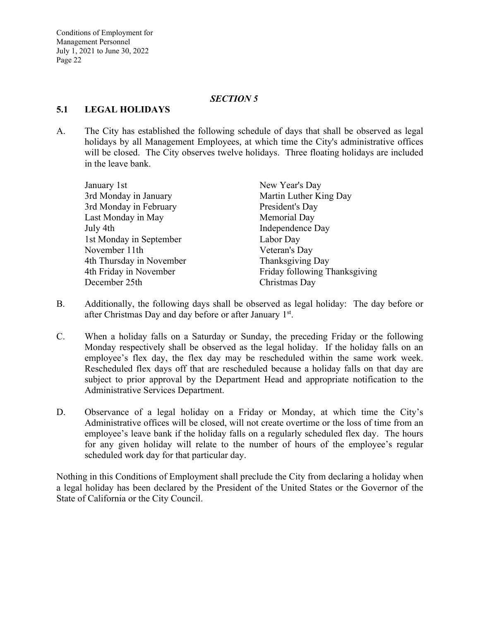#### *SECTION 5*

#### **5.1 LEGAL HOLIDAYS**

A. The City has established the following schedule of days that shall be observed as legal holidays by all Management Employees, at which time the City's administrative offices will be closed. The City observes twelve holidays. Three floating holidays are included in the leave bank.

| New Year's Day                |
|-------------------------------|
| Martin Luther King Day        |
| President's Day               |
| Memorial Day                  |
| Independence Day              |
| Labor Day                     |
| Veteran's Day                 |
| Thanksgiving Day              |
| Friday following Thanksgiving |
| Christmas Day                 |
|                               |

- B. Additionally, the following days shall be observed as legal holiday: The day before or after Christmas Day and day before or after January 1<sup>st</sup>.
- C. When a holiday falls on a Saturday or Sunday, the preceding Friday or the following Monday respectively shall be observed as the legal holiday. If the holiday falls on an employee's flex day, the flex day may be rescheduled within the same work week. Rescheduled flex days off that are rescheduled because a holiday falls on that day are subject to prior approval by the Department Head and appropriate notification to the Administrative Services Department.
- D. Observance of a legal holiday on a Friday or Monday, at which time the City's Administrative offices will be closed, will not create overtime or the loss of time from an employee's leave bank if the holiday falls on a regularly scheduled flex day. The hours for any given holiday will relate to the number of hours of the employee's regular scheduled work day for that particular day.

Nothing in this Conditions of Employment shall preclude the City from declaring a holiday when a legal holiday has been declared by the President of the United States or the Governor of the State of California or the City Council.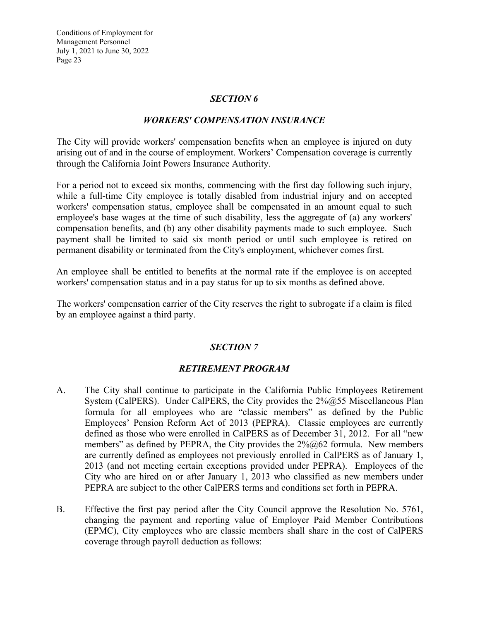#### *SECTION 6*

#### *WORKERS' COMPENSATION INSURANCE*

The City will provide workers' compensation benefits when an employee is injured on duty arising out of and in the course of employment. Workers' Compensation coverage is currently through the California Joint Powers Insurance Authority.

For a period not to exceed six months, commencing with the first day following such injury, while a full-time City employee is totally disabled from industrial injury and on accepted workers' compensation status, employee shall be compensated in an amount equal to such employee's base wages at the time of such disability, less the aggregate of (a) any workers' compensation benefits, and (b) any other disability payments made to such employee. Such payment shall be limited to said six month period or until such employee is retired on permanent disability or terminated from the City's employment, whichever comes first.

An employee shall be entitled to benefits at the normal rate if the employee is on accepted workers' compensation status and in a pay status for up to six months as defined above.

The workers' compensation carrier of the City reserves the right to subrogate if a claim is filed by an employee against a third party.

## *SECTION 7*

## *RETIREMENT PROGRAM*

- A. The City shall continue to participate in the California Public Employees Retirement System (CalPERS). Under CalPERS, the City provides the  $2\%@55$  Miscellaneous Plan formula for all employees who are "classic members" as defined by the Public Employees' Pension Reform Act of 2013 (PEPRA). Classic employees are currently defined as those who were enrolled in CalPERS as of December 31, 2012. For all "new members" as defined by PEPRA, the City provides the  $2\%@62$  formula. New members are currently defined as employees not previously enrolled in CalPERS as of January 1, 2013 (and not meeting certain exceptions provided under PEPRA). Employees of the City who are hired on or after January 1, 2013 who classified as new members under PEPRA are subject to the other CalPERS terms and conditions set forth in PEPRA.
- B. Effective the first pay period after the City Council approve the Resolution No. 5761, changing the payment and reporting value of Employer Paid Member Contributions (EPMC), City employees who are classic members shall share in the cost of CalPERS coverage through payroll deduction as follows: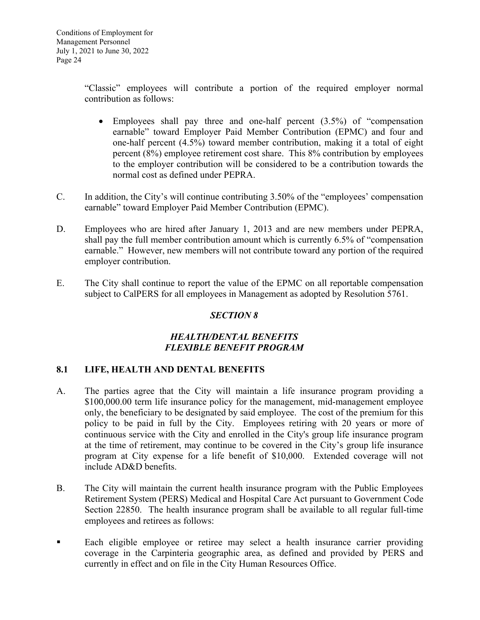"Classic" employees will contribute a portion of the required employer normal contribution as follows:

- $\bullet$  Employees shall pay three and one-half percent  $(3.5\%)$  of "compensation" earnable" toward Employer Paid Member Contribution (EPMC) and four and one-half percent (4.5%) toward member contribution, making it a total of eight percent (8%) employee retirement cost share. This 8% contribution by employees to the employer contribution will be considered to be a contribution towards the normal cost as defined under PEPRA.
- C. In addition, the City's will continue contributing 3.50% of the "employees' compensation earnable" toward Employer Paid Member Contribution (EPMC).
- D. Employees who are hired after January 1, 2013 and are new members under PEPRA, shall pay the full member contribution amount which is currently 6.5% of "compensation earnable." However, new members will not contribute toward any portion of the required employer contribution.
- E. The City shall continue to report the value of the EPMC on all reportable compensation subject to CalPERS for all employees in Management as adopted by Resolution 5761.

# *SECTION 8*

## *HEALTH/DENTAL BENEFITS FLEXIBLE BENEFIT PROGRAM*

## **8.1 LIFE, HEALTH AND DENTAL BENEFITS**

- A. The parties agree that the City will maintain a life insurance program providing a \$100,000.00 term life insurance policy for the management, mid-management employee only, the beneficiary to be designated by said employee. The cost of the premium for this policy to be paid in full by the City. Employees retiring with 20 years or more of continuous service with the City and enrolled in the City's group life insurance program at the time of retirement, may continue to be covered in the City's group life insurance program at City expense for a life benefit of \$10,000. Extended coverage will not include AD&D benefits.
- B. The City will maintain the current health insurance program with the Public Employees Retirement System (PERS) Medical and Hospital Care Act pursuant to Government Code Section 22850. The health insurance program shall be available to all regular full-time employees and retirees as follows:
- Each eligible employee or retiree may select a health insurance carrier providing coverage in the Carpinteria geographic area, as defined and provided by PERS and currently in effect and on file in the City Human Resources Office.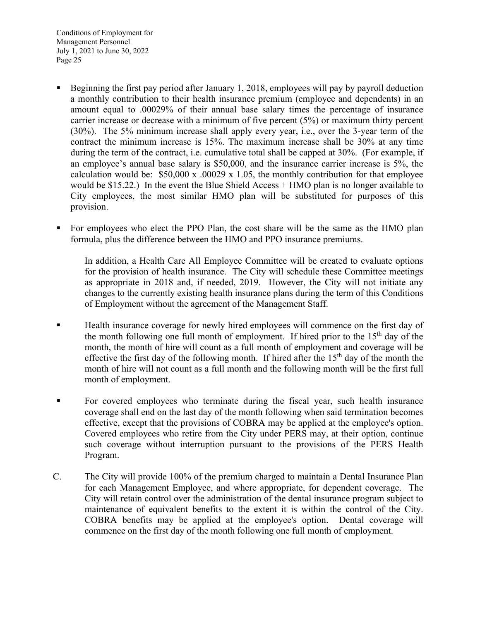- Beginning the first pay period after January 1, 2018, employees will pay by payroll deduction a monthly contribution to their health insurance premium (employee and dependents) in an amount equal to .00029% of their annual base salary times the percentage of insurance carrier increase or decrease with a minimum of five percent (5%) or maximum thirty percent (30%). The 5% minimum increase shall apply every year, i.e., over the 3-year term of the contract the minimum increase is 15%. The maximum increase shall be 30% at any time during the term of the contract, i.e. cumulative total shall be capped at 30%. (For example, if an employee's annual base salary is \$50,000, and the insurance carrier increase is 5%, the calculation would be:  $$50,000 \text{ x}$  .00029 x 1.05, the monthly contribution for that employee would be \$15.22.) In the event the Blue Shield Access + HMO plan is no longer available to City employees, the most similar HMO plan will be substituted for purposes of this provision.
- For employees who elect the PPO Plan, the cost share will be the same as the HMO plan formula, plus the difference between the HMO and PPO insurance premiums.

In addition, a Health Care All Employee Committee will be created to evaluate options for the provision of health insurance. The City will schedule these Committee meetings as appropriate in 2018 and, if needed, 2019. However, the City will not initiate any changes to the currently existing health insurance plans during the term of this Conditions of Employment without the agreement of the Management Staff.

- **Health insurance coverage for newly hired employees will commence on the first day of** the month following one full month of employment. If hired prior to the  $15<sup>th</sup>$  day of the month, the month of hire will count as a full month of employment and coverage will be effective the first day of the following month. If hired after the  $15<sup>th</sup>$  day of the month the month of hire will not count as a full month and the following month will be the first full month of employment.
- For covered employees who terminate during the fiscal year, such health insurance coverage shall end on the last day of the month following when said termination becomes effective, except that the provisions of COBRA may be applied at the employee's option. Covered employees who retire from the City under PERS may, at their option, continue such coverage without interruption pursuant to the provisions of the PERS Health Program.
- C. The City will provide 100% of the premium charged to maintain a Dental Insurance Plan for each Management Employee, and where appropriate, for dependent coverage. The City will retain control over the administration of the dental insurance program subject to maintenance of equivalent benefits to the extent it is within the control of the City. COBRA benefits may be applied at the employee's option. Dental coverage will commence on the first day of the month following one full month of employment.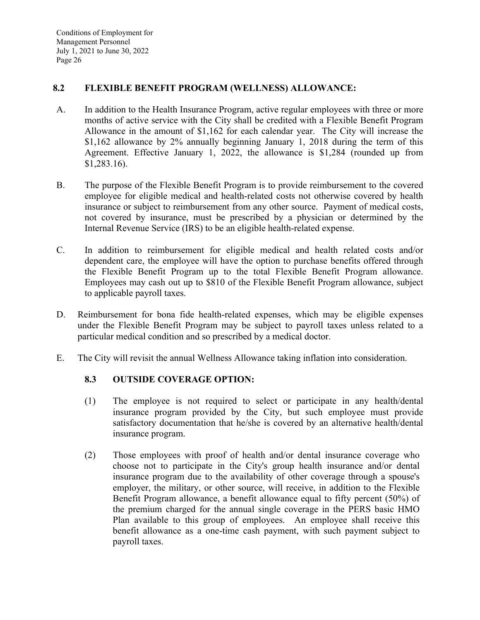## **8.2 FLEXIBLE BENEFIT PROGRAM (WELLNESS) ALLOWANCE:**

- A. In addition to the Health Insurance Program, active regular employees with three or more months of active service with the City shall be credited with a Flexible Benefit Program Allowance in the amount of \$1,162 for each calendar year. The City will increase the \$1,162 allowance by 2% annually beginning January 1, 2018 during the term of this Agreement. Effective January 1, 2022, the allowance is \$1,284 (rounded up from \$1,283.16).
- B. The purpose of the Flexible Benefit Program is to provide reimbursement to the covered employee for eligible medical and health-related costs not otherwise covered by health insurance or subject to reimbursement from any other source. Payment of medical costs, not covered by insurance, must be prescribed by a physician or determined by the Internal Revenue Service (IRS) to be an eligible health-related expense.
- C. In addition to reimbursement for eligible medical and health related costs and/or dependent care, the employee will have the option to purchase benefits offered through the Flexible Benefit Program up to the total Flexible Benefit Program allowance. Employees may cash out up to \$810 of the Flexible Benefit Program allowance, subject to applicable payroll taxes.
- D. Reimbursement for bona fide health-related expenses, which may be eligible expenses under the Flexible Benefit Program may be subject to payroll taxes unless related to a particular medical condition and so prescribed by a medical doctor.
- E. The City will revisit the annual Wellness Allowance taking inflation into consideration.

# **8.3 OUTSIDE COVERAGE OPTION:**

- (1) The employee is not required to select or participate in any health/dental insurance program provided by the City, but such employee must provide satisfactory documentation that he/she is covered by an alternative health/dental insurance program.
- (2) Those employees with proof of health and/or dental insurance coverage who choose not to participate in the City's group health insurance and/or dental insurance program due to the availability of other coverage through a spouse's employer, the military, or other source, will receive, in addition to the Flexible Benefit Program allowance, a benefit allowance equal to fifty percent (50%) of the premium charged for the annual single coverage in the PERS basic HMO Plan available to this group of employees. An employee shall receive this benefit allowance as a one-time cash payment, with such payment subject to payroll taxes.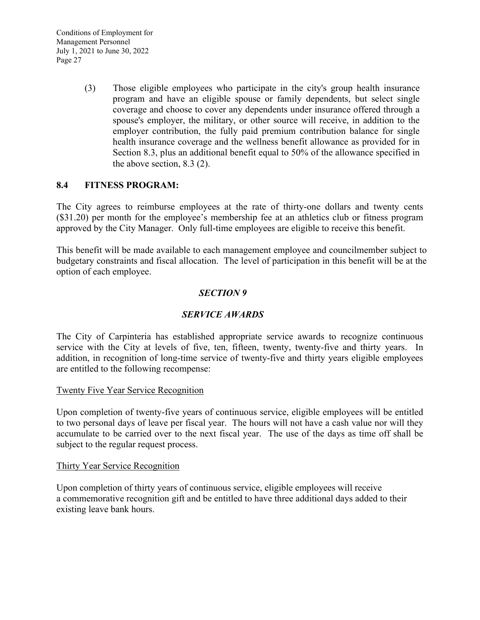> (3) Those eligible employees who participate in the city's group health insurance program and have an eligible spouse or family dependents, but select single coverage and choose to cover any dependents under insurance offered through a spouse's employer, the military, or other source will receive, in addition to the employer contribution, the fully paid premium contribution balance for single health insurance coverage and the wellness benefit allowance as provided for in Section 8.3, plus an additional benefit equal to 50% of the allowance specified in the above section, 8.3 (2).

## **8.4 FITNESS PROGRAM:**

The City agrees to reimburse employees at the rate of thirty-one dollars and twenty cents (\$31.20) per month for the employee's membership fee at an athletics club or fitness program approved by the City Manager. Only full-time employees are eligible to receive this benefit.

This benefit will be made available to each management employee and councilmember subject to budgetary constraints and fiscal allocation. The level of participation in this benefit will be at the option of each employee.

#### *SECTION 9*

## *SERVICE AWARDS*

The City of Carpinteria has established appropriate service awards to recognize continuous service with the City at levels of five, ten, fifteen, twenty, twenty-five and thirty years. In addition, in recognition of long-time service of twenty-five and thirty years eligible employees are entitled to the following recompense:

#### Twenty Five Year Service Recognition

Upon completion of twenty-five years of continuous service, eligible employees will be entitled to two personal days of leave per fiscal year. The hours will not have a cash value nor will they accumulate to be carried over to the next fiscal year. The use of the days as time off shall be subject to the regular request process.

#### Thirty Year Service Recognition

Upon completion of thirty years of continuous service, eligible employees will receive a commemorative recognition gift and be entitled to have three additional days added to their existing leave bank hours.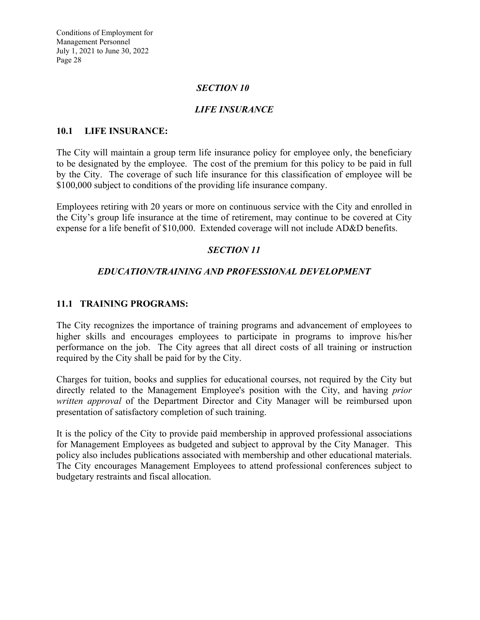#### *SECTION 10*

#### *LIFE INSURANCE*

#### **10.1 LIFE INSURANCE:**

The City will maintain a group term life insurance policy for employee only, the beneficiary to be designated by the employee. The cost of the premium for this policy to be paid in full by the City. The coverage of such life insurance for this classification of employee will be \$100,000 subject to conditions of the providing life insurance company.

Employees retiring with 20 years or more on continuous service with the City and enrolled in the City's group life insurance at the time of retirement, may continue to be covered at City expense for a life benefit of \$10,000. Extended coverage will not include AD&D benefits.

## *SECTION 11*

#### *EDUCATION/TRAINING AND PROFESSIONAL DEVELOPMENT*

#### **11.1 TRAINING PROGRAMS:**

The City recognizes the importance of training programs and advancement of employees to higher skills and encourages employees to participate in programs to improve his/her performance on the job. The City agrees that all direct costs of all training or instruction required by the City shall be paid for by the City.

Charges for tuition, books and supplies for educational courses, not required by the City but directly related to the Management Employee's position with the City, and having *prior written approval* of the Department Director and City Manager will be reimbursed upon presentation of satisfactory completion of such training.

It is the policy of the City to provide paid membership in approved professional associations for Management Employees as budgeted and subject to approval by the City Manager. This policy also includes publications associated with membership and other educational materials. The City encourages Management Employees to attend professional conferences subject to budgetary restraints and fiscal allocation.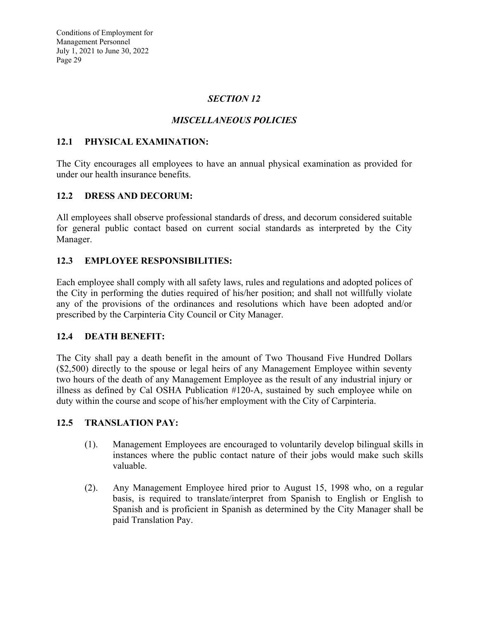## *SECTION 12*

# *MISCELLANEOUS POLICIES*

## **12.1 PHYSICAL EXAMINATION:**

The City encourages all employees to have an annual physical examination as provided for under our health insurance benefits.

# **12.2 DRESS AND DECORUM:**

All employees shall observe professional standards of dress, and decorum considered suitable for general public contact based on current social standards as interpreted by the City Manager.

# **12.3 EMPLOYEE RESPONSIBILITIES:**

Each employee shall comply with all safety laws, rules and regulations and adopted polices of the City in performing the duties required of his/her position; and shall not willfully violate any of the provisions of the ordinances and resolutions which have been adopted and/or prescribed by the Carpinteria City Council or City Manager.

## **12.4 DEATH BENEFIT:**

The City shall pay a death benefit in the amount of Two Thousand Five Hundred Dollars (\$2,500) directly to the spouse or legal heirs of any Management Employee within seventy two hours of the death of any Management Employee as the result of any industrial injury or illness as defined by Cal OSHA Publication #120-A, sustained by such employee while on duty within the course and scope of his/her employment with the City of Carpinteria.

## **12.5 TRANSLATION PAY:**

- (1). Management Employees are encouraged to voluntarily develop bilingual skills in instances where the public contact nature of their jobs would make such skills valuable.
- (2). Any Management Employee hired prior to August 15, 1998 who, on a regular basis, is required to translate/interpret from Spanish to English or English to Spanish and is proficient in Spanish as determined by the City Manager shall be paid Translation Pay.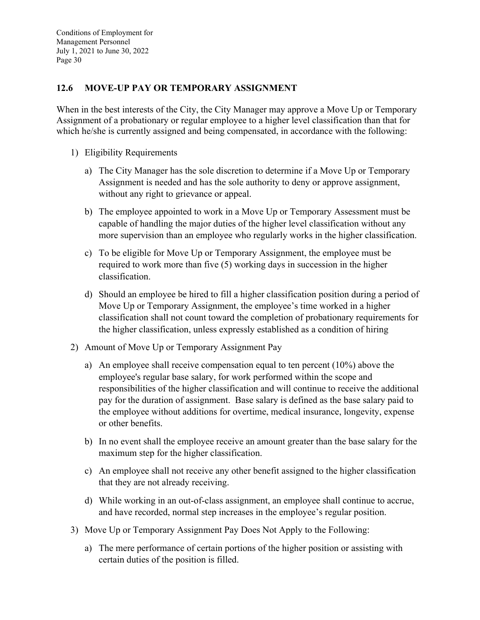# **12.6 MOVE-UP PAY OR TEMPORARY ASSIGNMENT**

When in the best interests of the City, the City Manager may approve a Move Up or Temporary Assignment of a probationary or regular employee to a higher level classification than that for which he/she is currently assigned and being compensated, in accordance with the following:

- 1) Eligibility Requirements
	- a) The City Manager has the sole discretion to determine if a Move Up or Temporary Assignment is needed and has the sole authority to deny or approve assignment, without any right to grievance or appeal.
	- b) The employee appointed to work in a Move Up or Temporary Assessment must be capable of handling the major duties of the higher level classification without any more supervision than an employee who regularly works in the higher classification.
	- c) To be eligible for Move Up or Temporary Assignment, the employee must be required to work more than five (5) working days in succession in the higher classification.
	- d) Should an employee be hired to fill a higher classification position during a period of Move Up or Temporary Assignment, the employee's time worked in a higher classification shall not count toward the completion of probationary requirements for the higher classification, unless expressly established as a condition of hiring
- 2) Amount of Move Up or Temporary Assignment Pay
	- a) An employee shall receive compensation equal to ten percent (10%) above the employee's regular base salary, for work performed within the scope and responsibilities of the higher classification and will continue to receive the additional pay for the duration of assignment. Base salary is defined as the base salary paid to the employee without additions for overtime, medical insurance, longevity, expense or other benefits.
	- b) In no event shall the employee receive an amount greater than the base salary for the maximum step for the higher classification.
	- c) An employee shall not receive any other benefit assigned to the higher classification that they are not already receiving.
	- d) While working in an out-of-class assignment, an employee shall continue to accrue, and have recorded, normal step increases in the employee's regular position.
- 3) Move Up or Temporary Assignment Pay Does Not Apply to the Following:
	- a) The mere performance of certain portions of the higher position or assisting with certain duties of the position is filled.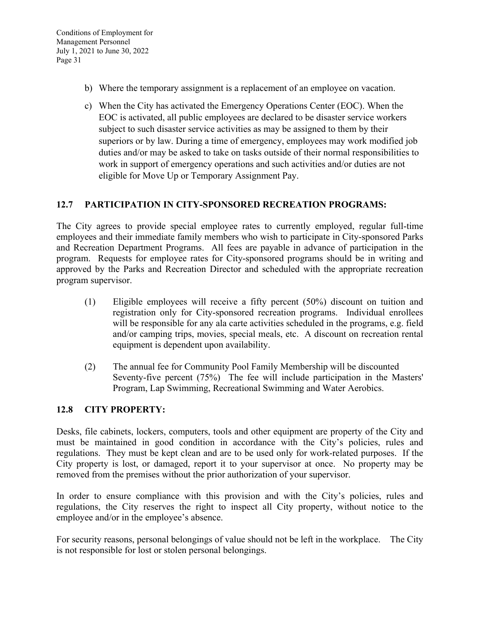- b) Where the temporary assignment is a replacement of an employee on vacation.
- c) When the City has activated the Emergency Operations Center (EOC). When the EOC is activated, all public employees are declared to be disaster service workers subject to such disaster service activities as may be assigned to them by their superiors or by law. During a time of emergency, employees may work modified job duties and/or may be asked to take on tasks outside of their normal responsibilities to work in support of emergency operations and such activities and/or duties are not eligible for Move Up or Temporary Assignment Pay.

## **12.7 PARTICIPATION IN CITY-SPONSORED RECREATION PROGRAMS:**

The City agrees to provide special employee rates to currently employed, regular full-time employees and their immediate family members who wish to participate in City-sponsored Parks and Recreation Department Programs. All fees are payable in advance of participation in the program. Requests for employee rates for City-sponsored programs should be in writing and approved by the Parks and Recreation Director and scheduled with the appropriate recreation program supervisor.

- (1) Eligible employees will receive a fifty percent (50%) discount on tuition and registration only for City-sponsored recreation programs. Individual enrollees will be responsible for any ala carte activities scheduled in the programs, e.g. field and/or camping trips, movies, special meals, etc. A discount on recreation rental equipment is dependent upon availability.
- (2) The annual fee for Community Pool Family Membership will be discounted Seventy-five percent (75%) The fee will include participation in the Masters' Program, Lap Swimming, Recreational Swimming and Water Aerobics.

## **12.8 CITY PROPERTY:**

Desks, file cabinets, lockers, computers, tools and other equipment are property of the City and must be maintained in good condition in accordance with the City's policies, rules and regulations. They must be kept clean and are to be used only for work-related purposes. If the City property is lost, or damaged, report it to your supervisor at once. No property may be removed from the premises without the prior authorization of your supervisor.

In order to ensure compliance with this provision and with the City's policies, rules and regulations, the City reserves the right to inspect all City property, without notice to the employee and/or in the employee's absence.

For security reasons, personal belongings of value should not be left in the workplace. The City is not responsible for lost or stolen personal belongings.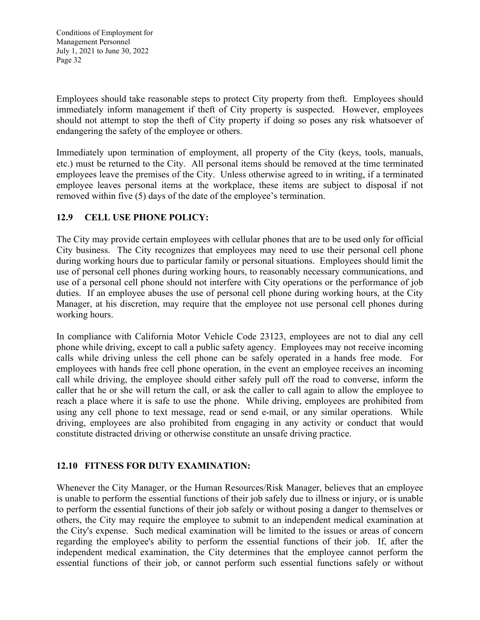Employees should take reasonable steps to protect City property from theft. Employees should immediately inform management if theft of City property is suspected. However, employees should not attempt to stop the theft of City property if doing so poses any risk whatsoever of endangering the safety of the employee or others.

Immediately upon termination of employment, all property of the City (keys, tools, manuals, etc.) must be returned to the City. All personal items should be removed at the time terminated employees leave the premises of the City. Unless otherwise agreed to in writing, if a terminated employee leaves personal items at the workplace, these items are subject to disposal if not removed within five (5) days of the date of the employee's termination.

## **12.9 CELL USE PHONE POLICY:**

The City may provide certain employees with cellular phones that are to be used only for official City business. The City recognizes that employees may need to use their personal cell phone during working hours due to particular family or personal situations. Employees should limit the use of personal cell phones during working hours, to reasonably necessary communications, and use of a personal cell phone should not interfere with City operations or the performance of job duties. If an employee abuses the use of personal cell phone during working hours, at the City Manager, at his discretion, may require that the employee not use personal cell phones during working hours.

In compliance with California Motor Vehicle Code 23123, employees are not to dial any cell phone while driving, except to call a public safety agency. Employees may not receive incoming calls while driving unless the cell phone can be safely operated in a hands free mode. For employees with hands free cell phone operation, in the event an employee receives an incoming call while driving, the employee should either safely pull off the road to converse, inform the caller that he or she will return the call, or ask the caller to call again to allow the employee to reach a place where it is safe to use the phone. While driving, employees are prohibited from using any cell phone to text message, read or send e-mail, or any similar operations. While driving, employees are also prohibited from engaging in any activity or conduct that would constitute distracted driving or otherwise constitute an unsafe driving practice.

## **12.10 FITNESS FOR DUTY EXAMINATION:**

Whenever the City Manager, or the Human Resources/Risk Manager, believes that an employee is unable to perform the essential functions of their job safely due to illness or injury, or is unable to perform the essential functions of their job safely or without posing a danger to themselves or others, the City may require the employee to submit to an independent medical examination at the City's expense. Such medical examination will be limited to the issues or areas of concern regarding the employee's ability to perform the essential functions of their job. If, after the independent medical examination, the City determines that the employee cannot perform the essential functions of their job, or cannot perform such essential functions safely or without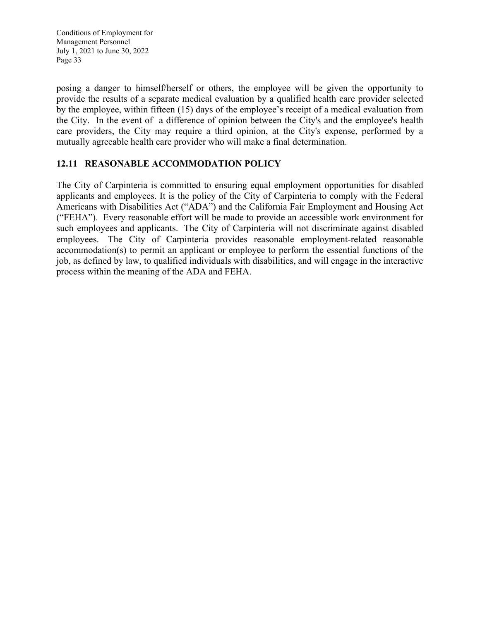posing a danger to himself/herself or others, the employee will be given the opportunity to provide the results of a separate medical evaluation by a qualified health care provider selected by the employee, within fifteen (15) days of the employee's receipt of a medical evaluation from the City. In the event of a difference of opinion between the City's and the employee's health care providers, the City may require a third opinion, at the City's expense, performed by a mutually agreeable health care provider who will make a final determination.

# **12.11 REASONABLE ACCOMMODATION POLICY**

The City of Carpinteria is committed to ensuring equal employment opportunities for disabled applicants and employees. It is the policy of the City of Carpinteria to comply with the Federal Americans with Disabilities Act ("ADA") and the California Fair Employment and Housing Act ("FEHA"). Every reasonable effort will be made to provide an accessible work environment for such employees and applicants. The City of Carpinteria will not discriminate against disabled employees. The City of Carpinteria provides reasonable employment-related reasonable accommodation(s) to permit an applicant or employee to perform the essential functions of the job, as defined by law, to qualified individuals with disabilities, and will engage in the interactive process within the meaning of the ADA and FEHA.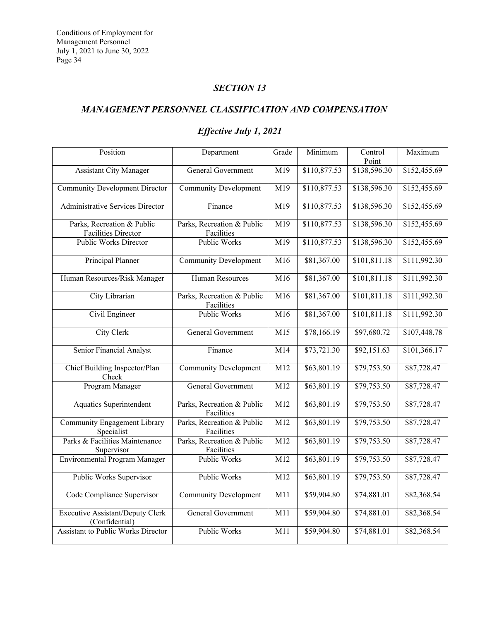## *SECTION 13*

# *MANAGEMENT PERSONNEL CLASSIFICATION AND COMPENSATION*

# *Effective July 1, 2021*

| Position                                                  | Department                               | Grade | Minimum                 | Control<br>Point | Maximum                 |
|-----------------------------------------------------------|------------------------------------------|-------|-------------------------|------------------|-------------------------|
| <b>Assistant City Manager</b>                             | General Government                       | M19   | \$110,877.53            | \$138,596.30     | \$152,455.69            |
| <b>Community Development Director</b>                     | <b>Community Development</b>             | M19   | \$110,877.53            | \$138,596.30     | \$152,455.69            |
| <b>Administrative Services Director</b>                   | Finance                                  | M19   | \$110,877.53            | \$138,596.30     | \$152,455.69            |
| Parks, Recreation & Public<br><b>Facilities Director</b>  | Parks, Recreation & Public<br>Facilities | M19   | \$110,877.53            | \$138,596.30     | \$152,455.69            |
| Public Works Director                                     | Public Works                             | M19   | \$110,877.53            | \$138,596.30     | \$152,455.69            |
| Principal Planner                                         | <b>Community Development</b>             | M16   | \$81,367.00             | \$101,811.18     | \$111,992.30            |
| Human Resources/Risk Manager                              | Human Resources                          | M16   | \$81,367.00             | \$101,811.18     | \$111,992.30            |
| City Librarian                                            | Parks, Recreation & Public<br>Facilities | M16   | \$81,367.00             | \$101,811.18     | \$111,992.30            |
| Civil Engineer                                            | Public Works                             | M16   | \$81,367.00             | \$101,811.18     | $\overline{$11,992.30}$ |
| <b>City Clerk</b>                                         | General Government                       | M15   | \$78,166.19             | \$97,680.72      | \$107,448.78            |
| Senior Financial Analyst                                  | Finance                                  | M14   | \$73,721.30             | \$92,151.63      | \$101,366.17            |
| Chief Building Inspector/Plan<br>Check                    | <b>Community Development</b>             | M12   | \$63,801.19             | \$79,753.50      | \$87,728.47             |
| Program Manager                                           | General Government                       | M12   | \$63,801.19             | \$79,753.50      | \$87,728.47             |
| <b>Aquatics Superintendent</b>                            | Parks, Recreation & Public<br>Facilities | M12   | $\overline{$63,801.19}$ | \$79,753.50      | \$87,728.47             |
| <b>Community Engagement Library</b><br>Specialist         | Parks, Recreation & Public<br>Facilities | M12   | \$63,801.19             | \$79,753.50      | \$87,728.47             |
| Parks & Facilities Maintenance<br>Supervisor              | Parks, Recreation & Public<br>Facilities | M12   | \$63,801.19             | \$79,753.50      | \$87,728.47             |
| <b>Environmental Program Manager</b>                      | Public Works                             | M12   | \$63,801.19             | \$79,753.50      | \$87,728.47             |
| <b>Public Works Supervisor</b>                            | Public Works                             | M12   | \$63,801.19             | \$79,753.50      | \$87,728.47             |
| Code Compliance Supervisor                                | <b>Community Development</b>             | M11   | \$59,904.80             | \$74,881.01      | \$82,368.54             |
| <b>Executive Assistant/Deputy Clerk</b><br>(Confidential) | General Government                       | M11   | \$59,904.80             | \$74,881.01      | \$82,368.54             |
| <b>Assistant to Public Works Director</b>                 | <b>Public Works</b>                      | M11   | \$59,904.80             | \$74,881.01      | \$82,368.54             |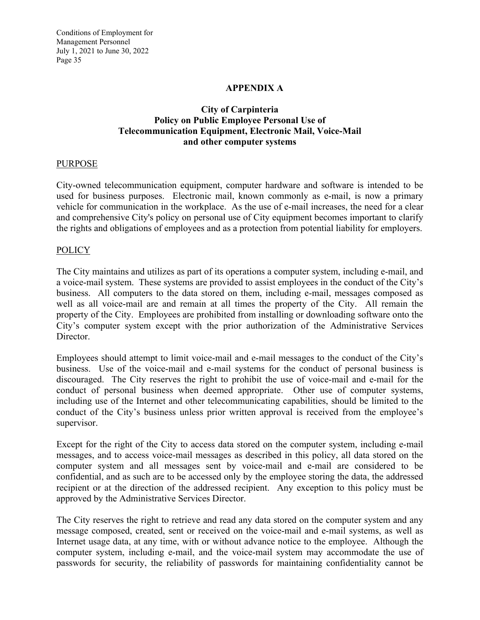#### **APPENDIX A**

## **City of Carpinteria Policy on Public Employee Personal Use of Telecommunication Equipment, Electronic Mail, Voice-Mail and other computer systems**

#### **PURPOSE**

City-owned telecommunication equipment, computer hardware and software is intended to be used for business purposes. Electronic mail, known commonly as e-mail, is now a primary vehicle for communication in the workplace. As the use of e-mail increases, the need for a clear and comprehensive City's policy on personal use of City equipment becomes important to clarify the rights and obligations of employees and as a protection from potential liability for employers.

#### POLICY

The City maintains and utilizes as part of its operations a computer system, including e-mail, and a voice-mail system. These systems are provided to assist employees in the conduct of the City's business. All computers to the data stored on them, including e-mail, messages composed as well as all voice-mail are and remain at all times the property of the City. All remain the property of the City. Employees are prohibited from installing or downloading software onto the City's computer system except with the prior authorization of the Administrative Services Director.

Employees should attempt to limit voice-mail and e-mail messages to the conduct of the City's business. Use of the voice-mail and e-mail systems for the conduct of personal business is discouraged. The City reserves the right to prohibit the use of voice-mail and e-mail for the conduct of personal business when deemed appropriate. Other use of computer systems, including use of the Internet and other telecommunicating capabilities, should be limited to the conduct of the City's business unless prior written approval is received from the employee's supervisor.

Except for the right of the City to access data stored on the computer system, including e-mail messages, and to access voice-mail messages as described in this policy, all data stored on the computer system and all messages sent by voice-mail and e-mail are considered to be confidential, and as such are to be accessed only by the employee storing the data, the addressed recipient or at the direction of the addressed recipient. Any exception to this policy must be approved by the Administrative Services Director.

The City reserves the right to retrieve and read any data stored on the computer system and any message composed, created, sent or received on the voice-mail and e-mail systems, as well as Internet usage data, at any time, with or without advance notice to the employee. Although the computer system, including e-mail, and the voice-mail system may accommodate the use of passwords for security, the reliability of passwords for maintaining confidentiality cannot be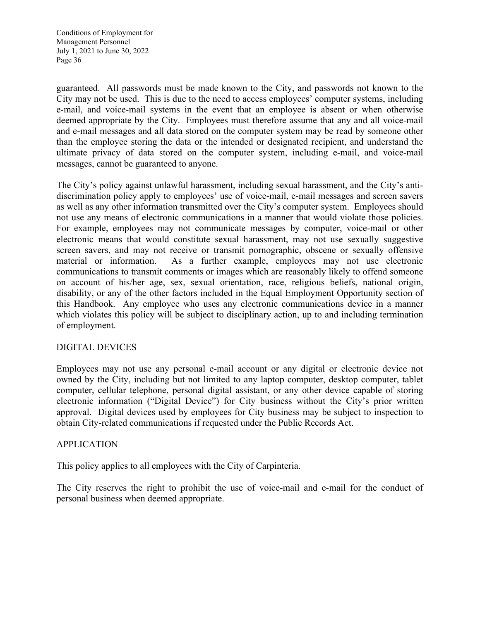guaranteed. All passwords must be made known to the City, and passwords not known to the City may not be used. This is due to the need to access employees' computer systems, including e-mail, and voice-mail systems in the event that an employee is absent or when otherwise deemed appropriate by the City. Employees must therefore assume that any and all voice-mail and e-mail messages and all data stored on the computer system may be read by someone other than the employee storing the data or the intended or designated recipient, and understand the ultimate privacy of data stored on the computer system, including e-mail, and voice-mail messages, cannot be guaranteed to anyone.

The City's policy against unlawful harassment, including sexual harassment, and the City's antidiscrimination policy apply to employees' use of voice-mail, e-mail messages and screen savers as well as any other information transmitted over the City's computer system. Employees should not use any means of electronic communications in a manner that would violate those policies. For example, employees may not communicate messages by computer, voice-mail or other electronic means that would constitute sexual harassment, may not use sexually suggestive screen savers, and may not receive or transmit pornographic, obscene or sexually offensive material or information. As a further example, employees may not use electronic communications to transmit comments or images which are reasonably likely to offend someone on account of his/her age, sex, sexual orientation, race, religious beliefs, national origin, disability, or any of the other factors included in the Equal Employment Opportunity section of this Handbook. Any employee who uses any electronic communications device in a manner which violates this policy will be subject to disciplinary action, up to and including termination of employment.

## DIGITAL DEVICES

Employees may not use any personal e-mail account or any digital or electronic device not owned by the City, including but not limited to any laptop computer, desktop computer, tablet computer, cellular telephone, personal digital assistant, or any other device capable of storing electronic information ("Digital Device") for City business without the City's prior written approval. Digital devices used by employees for City business may be subject to inspection to obtain City-related communications if requested under the Public Records Act.

#### APPLICATION

This policy applies to all employees with the City of Carpinteria.

The City reserves the right to prohibit the use of voice-mail and e-mail for the conduct of personal business when deemed appropriate.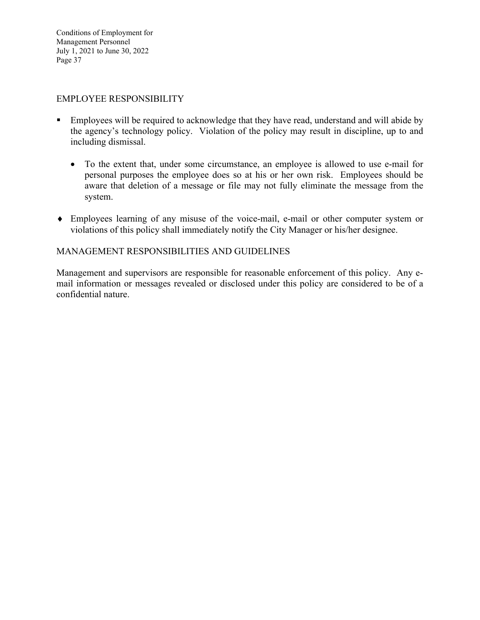#### EMPLOYEE RESPONSIBILITY

- Employees will be required to acknowledge that they have read, understand and will abide by the agency's technology policy. Violation of the policy may result in discipline, up to and including dismissal.
	- To the extent that, under some circumstance, an employee is allowed to use e-mail for personal purposes the employee does so at his or her own risk. Employees should be aware that deletion of a message or file may not fully eliminate the message from the system.
- Employees learning of any misuse of the voice-mail, e-mail or other computer system or violations of this policy shall immediately notify the City Manager or his/her designee.

#### MANAGEMENT RESPONSIBILITIES AND GUIDELINES

Management and supervisors are responsible for reasonable enforcement of this policy. Any email information or messages revealed or disclosed under this policy are considered to be of a confidential nature.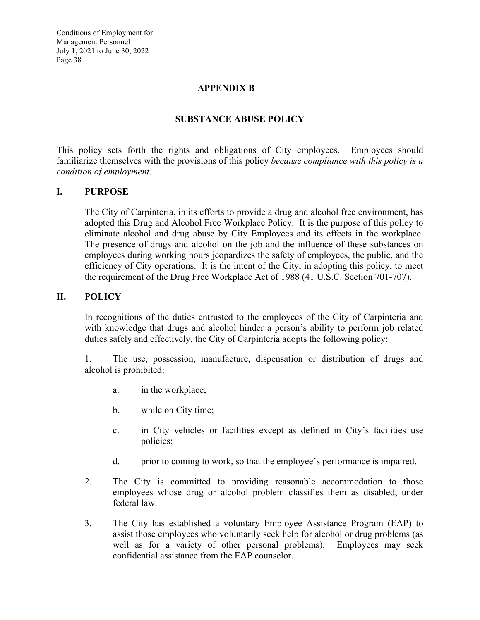#### **APPENDIX B**

#### **SUBSTANCE ABUSE POLICY**

This policy sets forth the rights and obligations of City employees. Employees should familiarize themselves with the provisions of this policy *because compliance with this policy is a condition of employment*.

#### **I. PURPOSE**

The City of Carpinteria, in its efforts to provide a drug and alcohol free environment, has adopted this Drug and Alcohol Free Workplace Policy. It is the purpose of this policy to eliminate alcohol and drug abuse by City Employees and its effects in the workplace. The presence of drugs and alcohol on the job and the influence of these substances on employees during working hours jeopardizes the safety of employees, the public, and the efficiency of City operations. It is the intent of the City, in adopting this policy, to meet the requirement of the Drug Free Workplace Act of 1988 (41 U.S.C. Section 701-707).

#### **II. POLICY**

In recognitions of the duties entrusted to the employees of the City of Carpinteria and with knowledge that drugs and alcohol hinder a person's ability to perform job related duties safely and effectively, the City of Carpinteria adopts the following policy:

1. The use, possession, manufacture, dispensation or distribution of drugs and alcohol is prohibited:

- a. in the workplace;
- b. while on City time;
- c. in City vehicles or facilities except as defined in City's facilities use policies;
- d. prior to coming to work, so that the employee's performance is impaired.
- 2. The City is committed to providing reasonable accommodation to those employees whose drug or alcohol problem classifies them as disabled, under federal law.
- 3. The City has established a voluntary Employee Assistance Program (EAP) to assist those employees who voluntarily seek help for alcohol or drug problems (as well as for a variety of other personal problems). Employees may seek confidential assistance from the EAP counselor.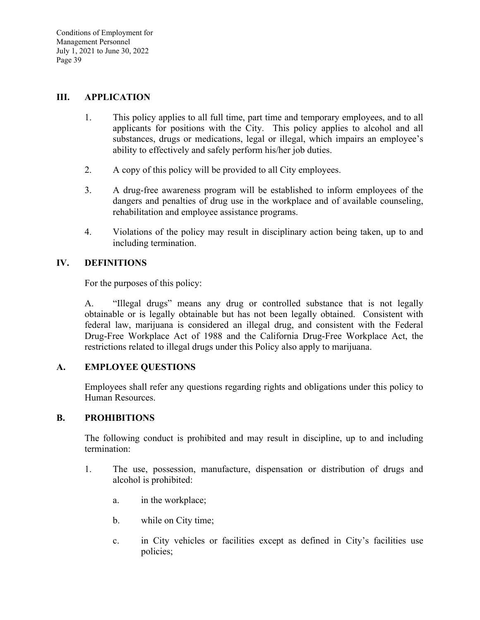#### **III. APPLICATION**

- 1. This policy applies to all full time, part time and temporary employees, and to all applicants for positions with the City. This policy applies to alcohol and all substances, drugs or medications, legal or illegal, which impairs an employee's ability to effectively and safely perform his/her job duties.
- 2. A copy of this policy will be provided to all City employees.
- 3. A drug-free awareness program will be established to inform employees of the dangers and penalties of drug use in the workplace and of available counseling, rehabilitation and employee assistance programs.
- 4. Violations of the policy may result in disciplinary action being taken, up to and including termination.

# **IV. DEFINITIONS**

For the purposes of this policy:

 A. "Illegal drugs" means any drug or controlled substance that is not legally obtainable or is legally obtainable but has not been legally obtained. Consistent with federal law, marijuana is considered an illegal drug, and consistent with the Federal Drug-Free Workplace Act of 1988 and the California Drug-Free Workplace Act, the restrictions related to illegal drugs under this Policy also apply to marijuana.

## **A. EMPLOYEE QUESTIONS**

Employees shall refer any questions regarding rights and obligations under this policy to Human Resources.

## **B. PROHIBITIONS**

The following conduct is prohibited and may result in discipline, up to and including termination:

- 1. The use, possession, manufacture, dispensation or distribution of drugs and alcohol is prohibited:
	- a. in the workplace;
	- b. while on City time;
	- c. in City vehicles or facilities except as defined in City's facilities use policies;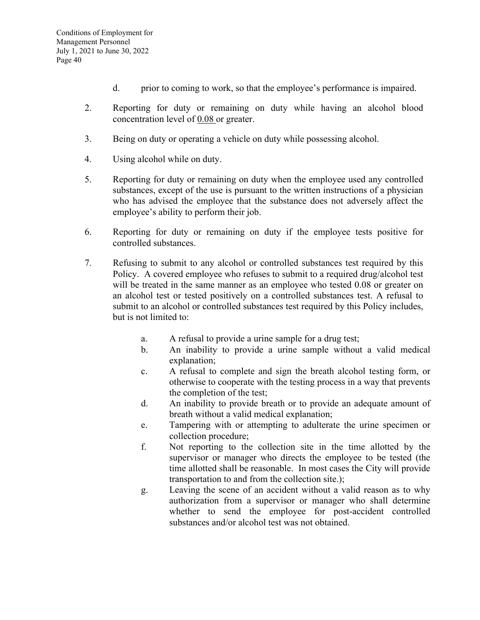- d. prior to coming to work, so that the employee's performance is impaired.
- 2. Reporting for duty or remaining on duty while having an alcohol blood concentration level of 0.08 or greater.
- 3. Being on duty or operating a vehicle on duty while possessing alcohol.
- 4. Using alcohol while on duty.
- 5. Reporting for duty or remaining on duty when the employee used any controlled substances, except of the use is pursuant to the written instructions of a physician who has advised the employee that the substance does not adversely affect the employee's ability to perform their job.
- 6. Reporting for duty or remaining on duty if the employee tests positive for controlled substances.
- 7. Refusing to submit to any alcohol or controlled substances test required by this Policy. A covered employee who refuses to submit to a required drug/alcohol test will be treated in the same manner as an employee who tested 0.08 or greater on an alcohol test or tested positively on a controlled substances test. A refusal to submit to an alcohol or controlled substances test required by this Policy includes, but is not limited to:
	- a. A refusal to provide a urine sample for a drug test;
	- b. An inability to provide a urine sample without a valid medical explanation;
	- c. A refusal to complete and sign the breath alcohol testing form, or otherwise to cooperate with the testing process in a way that prevents the completion of the test;
	- d. An inability to provide breath or to provide an adequate amount of breath without a valid medical explanation;
	- e. Tampering with or attempting to adulterate the urine specimen or collection procedure;
	- f. Not reporting to the collection site in the time allotted by the supervisor or manager who directs the employee to be tested (the time allotted shall be reasonable. In most cases the City will provide transportation to and from the collection site.);
	- g. Leaving the scene of an accident without a valid reason as to why authorization from a supervisor or manager who shall determine whether to send the employee for post-accident controlled substances and/or alcohol test was not obtained.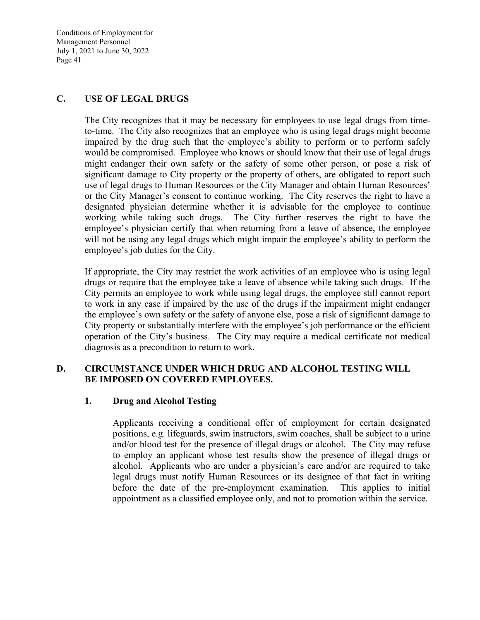#### **C. USE OF LEGAL DRUGS**

The City recognizes that it may be necessary for employees to use legal drugs from timeto-time. The City also recognizes that an employee who is using legal drugs might become impaired by the drug such that the employee's ability to perform or to perform safely would be compromised. Employee who knows or should know that their use of legal drugs might endanger their own safety or the safety of some other person, or pose a risk of significant damage to City property or the property of others, are obligated to report such use of legal drugs to Human Resources or the City Manager and obtain Human Resources' or the City Manager's consent to continue working. The City reserves the right to have a designated physician determine whether it is advisable for the employee to continue working while taking such drugs. The City further reserves the right to have the employee's physician certify that when returning from a leave of absence, the employee will not be using any legal drugs which might impair the employee's ability to perform the employee's job duties for the City.

If appropriate, the City may restrict the work activities of an employee who is using legal drugs or require that the employee take a leave of absence while taking such drugs. If the City permits an employee to work while using legal drugs, the employee still cannot report to work in any case if impaired by the use of the drugs if the impairment might endanger the employee's own safety or the safety of anyone else, pose a risk of significant damage to City property or substantially interfere with the employee's job performance or the efficient operation of the City's business. The City may require a medical certificate not medical diagnosis as a precondition to return to work.

## **D. CIRCUMSTANCE UNDER WHICH DRUG AND ALCOHOL TESTING WILL BE IMPOSED ON COVERED EMPLOYEES.**

#### **1. Drug and Alcohol Testing**

Applicants receiving a conditional offer of employment for certain designated positions, e.g. lifeguards, swim instructors, swim coaches, shall be subject to a urine and/or blood test for the presence of illegal drugs or alcohol. The City may refuse to employ an applicant whose test results show the presence of illegal drugs or alcohol. Applicants who are under a physician's care and/or are required to take legal drugs must notify Human Resources or its designee of that fact in writing before the date of the pre-employment examination. This applies to initial appointment as a classified employee only, and not to promotion within the service.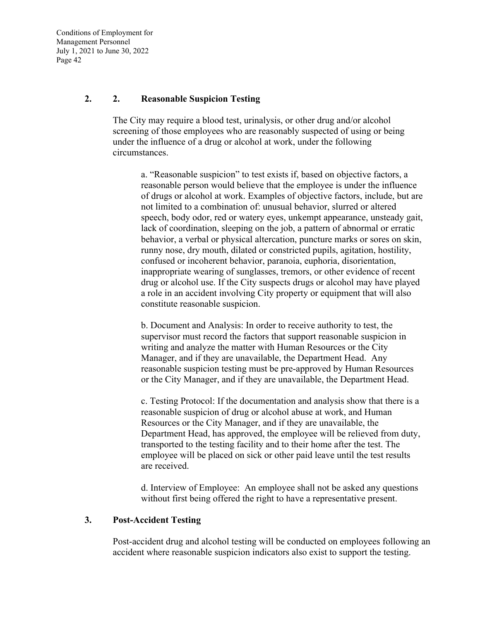#### **2. 2. Reasonable Suspicion Testing**

The City may require a blood test, urinalysis, or other drug and/or alcohol screening of those employees who are reasonably suspected of using or being under the influence of a drug or alcohol at work, under the following circumstances.

a. "Reasonable suspicion" to test exists if, based on objective factors, a reasonable person would believe that the employee is under the influence of drugs or alcohol at work. Examples of objective factors, include, but are not limited to a combination of: unusual behavior, slurred or altered speech, body odor, red or watery eyes, unkempt appearance, unsteady gait, lack of coordination, sleeping on the job, a pattern of abnormal or erratic behavior, a verbal or physical altercation, puncture marks or sores on skin, runny nose, dry mouth, dilated or constricted pupils, agitation, hostility, confused or incoherent behavior, paranoia, euphoria, disorientation, inappropriate wearing of sunglasses, tremors, or other evidence of recent drug or alcohol use. If the City suspects drugs or alcohol may have played a role in an accident involving City property or equipment that will also constitute reasonable suspicion.

b. Document and Analysis: In order to receive authority to test, the supervisor must record the factors that support reasonable suspicion in writing and analyze the matter with Human Resources or the City Manager, and if they are unavailable, the Department Head. Any reasonable suspicion testing must be pre-approved by Human Resources or the City Manager, and if they are unavailable, the Department Head.

c. Testing Protocol: If the documentation and analysis show that there is a reasonable suspicion of drug or alcohol abuse at work, and Human Resources or the City Manager, and if they are unavailable, the Department Head, has approved, the employee will be relieved from duty, transported to the testing facility and to their home after the test. The employee will be placed on sick or other paid leave until the test results are received.

d. Interview of Employee: An employee shall not be asked any questions without first being offered the right to have a representative present.

#### **3. Post-Accident Testing**

Post-accident drug and alcohol testing will be conducted on employees following an accident where reasonable suspicion indicators also exist to support the testing.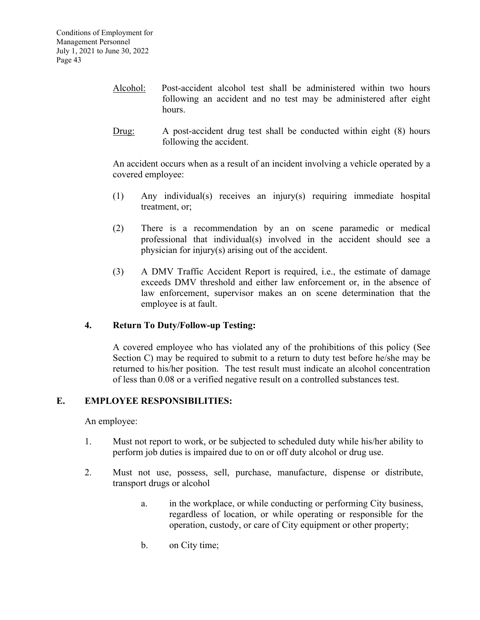- Alcohol: Post-accident alcohol test shall be administered within two hours following an accident and no test may be administered after eight hours.
- Drug: A post-accident drug test shall be conducted within eight (8) hours following the accident.

 An accident occurs when as a result of an incident involving a vehicle operated by a covered employee:

- (1) Any individual(s) receives an injury(s) requiring immediate hospital treatment, or;
- (2) There is a recommendation by an on scene paramedic or medical professional that individual(s) involved in the accident should see a physician for injury(s) arising out of the accident.
- (3) A DMV Traffic Accident Report is required, i.e., the estimate of damage exceeds DMV threshold and either law enforcement or, in the absence of law enforcement, supervisor makes an on scene determination that the employee is at fault.

## **4. Return To Duty/Follow-up Testing:**

A covered employee who has violated any of the prohibitions of this policy (See Section C) may be required to submit to a return to duty test before he/she may be returned to his/her position. The test result must indicate an alcohol concentration of less than 0.08 or a verified negative result on a controlled substances test.

#### **E. EMPLOYEE RESPONSIBILITIES:**

An employee:

- 1. Must not report to work, or be subjected to scheduled duty while his/her ability to perform job duties is impaired due to on or off duty alcohol or drug use.
- 2. Must not use, possess, sell, purchase, manufacture, dispense or distribute, transport drugs or alcohol
	- a. in the workplace, or while conducting or performing City business, regardless of location, or while operating or responsible for the operation, custody, or care of City equipment or other property;
	- b. on City time;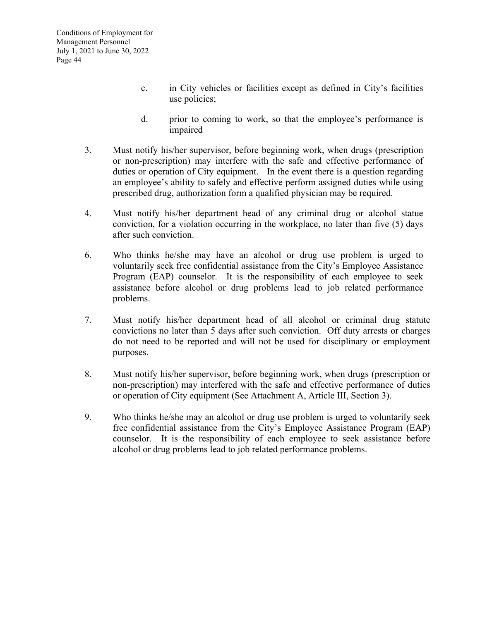- c. in City vehicles or facilities except as defined in City's facilities use policies;
- d. prior to coming to work, so that the employee's performance is impaired
- 3. Must notify his/her supervisor, before beginning work, when drugs (prescription or non-prescription) may interfere with the safe and effective performance of duties or operation of City equipment. In the event there is a question regarding an employee's ability to safely and effective perform assigned duties while using prescribed drug, authorization form a qualified physician may be required.
- 4. Must notify his/her department head of any criminal drug or alcohol statue conviction, for a violation occurring in the workplace, no later than five (5) days after such conviction.
- 6. Who thinks he/she may have an alcohol or drug use problem is urged to voluntarily seek free confidential assistance from the City's Employee Assistance Program (EAP) counselor. It is the responsibility of each employee to seek assistance before alcohol or drug problems lead to job related performance problems.
- 7. Must notify his/her department head of all alcohol or criminal drug statute convictions no later than 5 days after such conviction. Off duty arrests or charges do not need to be reported and will not be used for disciplinary or employment purposes.
- 8. Must notify his/her supervisor, before beginning work, when drugs (prescription or non-prescription) may interfered with the safe and effective performance of duties or operation of City equipment (See Attachment A, Article III, Section 3).
- 9. Who thinks he/she may an alcohol or drug use problem is urged to voluntarily seek free confidential assistance from the City's Employee Assistance Program (EAP) counselor. It is the responsibility of each employee to seek assistance before alcohol or drug problems lead to job related performance problems.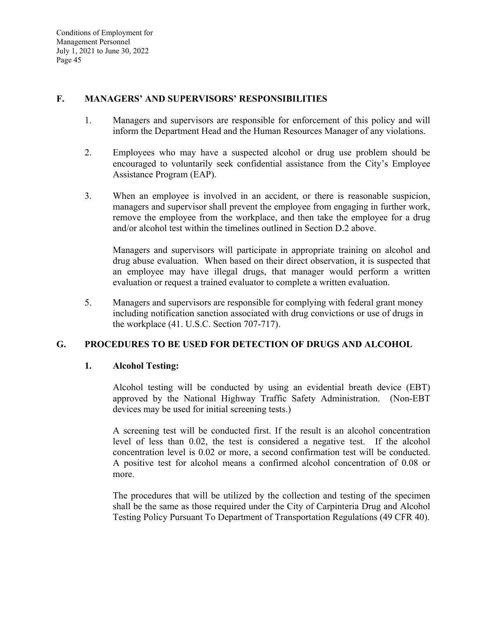#### **F. MANAGERS' AND SUPERVISORS' RESPONSIBILITIES**

- 1. Managers and supervisors are responsible for enforcement of this policy and will inform the Department Head and the Human Resources Manager of any violations.
- 2. Employees who may have a suspected alcohol or drug use problem should be encouraged to voluntarily seek confidential assistance from the City's Employee Assistance Program (EAP).
- 3. When an employee is involved in an accident, or there is reasonable suspicion, managers and supervisor shall prevent the employee from engaging in further work, remove the employee from the workplace, and then take the employee for a drug and/or alcohol test within the timelines outlined in Section D.2 above.

 Managers and supervisors will participate in appropriate training on alcohol and drug abuse evaluation. When based on their direct observation, it is suspected that an employee may have illegal drugs, that manager would perform a written evaluation or request a trained evaluator to complete a written evaluation.

5. Managers and supervisors are responsible for complying with federal grant money including notification sanction associated with drug convictions or use of drugs in the workplace (41. U.S.C. Section 707-717).

## **G. PROCEDURES TO BE USED FOR DETECTION OF DRUGS AND ALCOHOL**

#### **1. Alcohol Testing:**

Alcohol testing will be conducted by using an evidential breath device (EBT) approved by the National Highway Traffic Safety Administration. (Non-EBT devices may be used for initial screening tests.)

A screening test will be conducted first. If the result is an alcohol concentration level of less than 0.02, the test is considered a negative test. If the alcohol concentration level is 0.02 or more, a second confirmation test will be conducted. A positive test for alcohol means a confirmed alcohol concentration of 0.08 or more.

The procedures that will be utilized by the collection and testing of the specimen shall be the same as those required under the City of Carpinteria Drug and Alcohol Testing Policy Pursuant To Department of Transportation Regulations (49 CFR 40).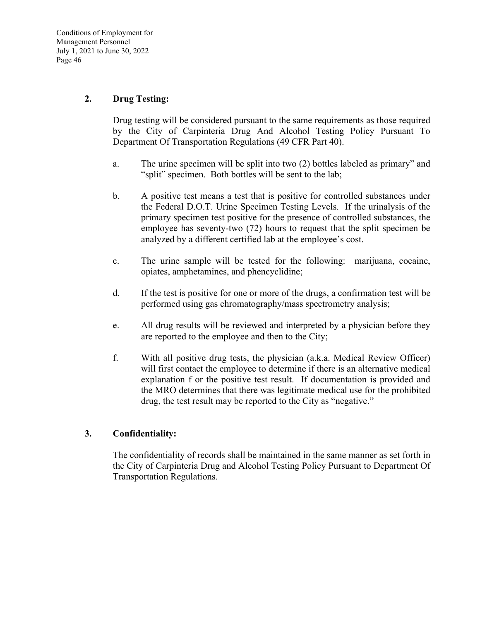#### **2. Drug Testing:**

Drug testing will be considered pursuant to the same requirements as those required by the City of Carpinteria Drug And Alcohol Testing Policy Pursuant To Department Of Transportation Regulations (49 CFR Part 40).

- a. The urine specimen will be split into two (2) bottles labeled as primary" and "split" specimen. Both bottles will be sent to the lab;
- b. A positive test means a test that is positive for controlled substances under the Federal D.O.T. Urine Specimen Testing Levels. If the urinalysis of the primary specimen test positive for the presence of controlled substances, the employee has seventy-two (72) hours to request that the split specimen be analyzed by a different certified lab at the employee's cost.
- c. The urine sample will be tested for the following: marijuana, cocaine, opiates, amphetamines, and phencyclidine;
- d. If the test is positive for one or more of the drugs, a confirmation test will be performed using gas chromatography/mass spectrometry analysis;
- e. All drug results will be reviewed and interpreted by a physician before they are reported to the employee and then to the City;
- f. With all positive drug tests, the physician (a.k.a. Medical Review Officer) will first contact the employee to determine if there is an alternative medical explanation f or the positive test result. If documentation is provided and the MRO determines that there was legitimate medical use for the prohibited drug, the test result may be reported to the City as "negative."

#### **3. Confidentiality:**

The confidentiality of records shall be maintained in the same manner as set forth in the City of Carpinteria Drug and Alcohol Testing Policy Pursuant to Department Of Transportation Regulations.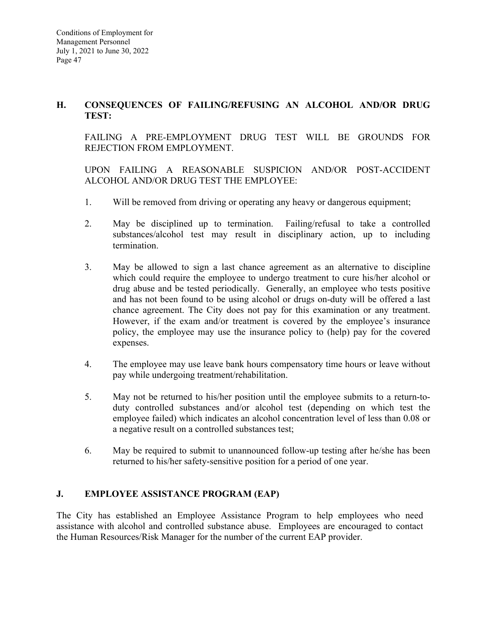## **H. CONSEQUENCES OF FAILING/REFUSING AN ALCOHOL AND/OR DRUG TEST:**

FAILING A PRE-EMPLOYMENT DRUG TEST WILL BE GROUNDS FOR REJECTION FROM EMPLOYMENT.

 UPON FAILING A REASONABLE SUSPICION AND/OR POST-ACCIDENT ALCOHOL AND/OR DRUG TEST THE EMPLOYEE:

- 1. Will be removed from driving or operating any heavy or dangerous equipment;
- 2. May be disciplined up to termination. Failing/refusal to take a controlled substances/alcohol test may result in disciplinary action, up to including termination.
- 3. May be allowed to sign a last chance agreement as an alternative to discipline which could require the employee to undergo treatment to cure his/her alcohol or drug abuse and be tested periodically. Generally, an employee who tests positive and has not been found to be using alcohol or drugs on-duty will be offered a last chance agreement. The City does not pay for this examination or any treatment. However, if the exam and/or treatment is covered by the employee's insurance policy, the employee may use the insurance policy to (help) pay for the covered expenses.
- 4. The employee may use leave bank hours compensatory time hours or leave without pay while undergoing treatment/rehabilitation.
- 5. May not be returned to his/her position until the employee submits to a return-toduty controlled substances and/or alcohol test (depending on which test the employee failed) which indicates an alcohol concentration level of less than 0.08 or a negative result on a controlled substances test;
- 6. May be required to submit to unannounced follow-up testing after he/she has been returned to his/her safety-sensitive position for a period of one year.

## **J. EMPLOYEE ASSISTANCE PROGRAM (EAP)**

The City has established an Employee Assistance Program to help employees who need assistance with alcohol and controlled substance abuse. Employees are encouraged to contact the Human Resources/Risk Manager for the number of the current EAP provider.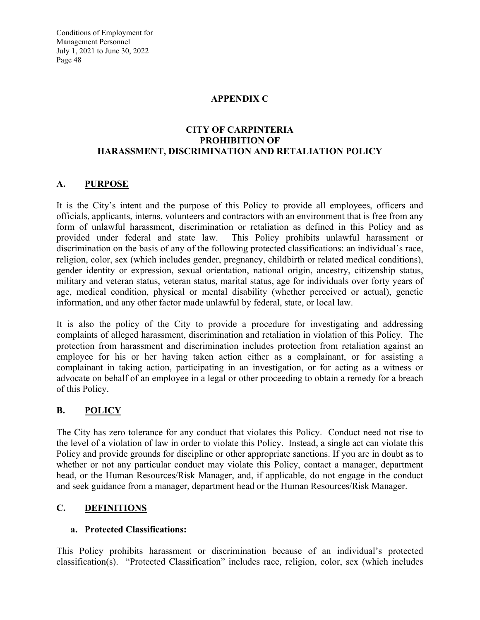#### **APPENDIX C**

#### **CITY OF CARPINTERIA PROHIBITION OF HARASSMENT, DISCRIMINATION AND RETALIATION POLICY**

## **A. PURPOSE**

It is the City's intent and the purpose of this Policy to provide all employees, officers and officials, applicants, interns, volunteers and contractors with an environment that is free from any form of unlawful harassment, discrimination or retaliation as defined in this Policy and as provided under federal and state law. This Policy prohibits unlawful harassment or discrimination on the basis of any of the following protected classifications: an individual's race, religion, color, sex (which includes gender, pregnancy, childbirth or related medical conditions), gender identity or expression, sexual orientation, national origin, ancestry, citizenship status, military and veteran status, veteran status, marital status, age for individuals over forty years of age, medical condition, physical or mental disability (whether perceived or actual), genetic information, and any other factor made unlawful by federal, state, or local law.

It is also the policy of the City to provide a procedure for investigating and addressing complaints of alleged harassment, discrimination and retaliation in violation of this Policy. The protection from harassment and discrimination includes protection from retaliation against an employee for his or her having taken action either as a complainant, or for assisting a complainant in taking action, participating in an investigation, or for acting as a witness or advocate on behalf of an employee in a legal or other proceeding to obtain a remedy for a breach of this Policy.

## **B. POLICY**

The City has zero tolerance for any conduct that violates this Policy. Conduct need not rise to the level of a violation of law in order to violate this Policy. Instead, a single act can violate this Policy and provide grounds for discipline or other appropriate sanctions. If you are in doubt as to whether or not any particular conduct may violate this Policy, contact a manager, department head, or the Human Resources/Risk Manager, and, if applicable, do not engage in the conduct and seek guidance from a manager, department head or the Human Resources/Risk Manager.

## **C. DEFINITIONS**

## **a. Protected Classifications:**

This Policy prohibits harassment or discrimination because of an individual's protected classification(s). "Protected Classification" includes race, religion, color, sex (which includes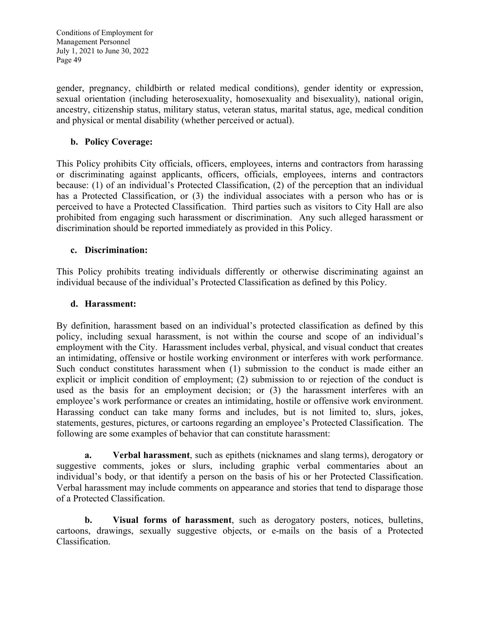gender, pregnancy, childbirth or related medical conditions), gender identity or expression, sexual orientation (including heterosexuality, homosexuality and bisexuality), national origin, ancestry, citizenship status, military status, veteran status, marital status, age, medical condition and physical or mental disability (whether perceived or actual).

## **b. Policy Coverage:**

This Policy prohibits City officials, officers, employees, interns and contractors from harassing or discriminating against applicants, officers, officials, employees, interns and contractors because: (1) of an individual's Protected Classification, (2) of the perception that an individual has a Protected Classification, or (3) the individual associates with a person who has or is perceived to have a Protected Classification. Third parties such as visitors to City Hall are also prohibited from engaging such harassment or discrimination. Any such alleged harassment or discrimination should be reported immediately as provided in this Policy.

## **c. Discrimination:**

This Policy prohibits treating individuals differently or otherwise discriminating against an individual because of the individual's Protected Classification as defined by this Policy.

#### **d. Harassment:**

By definition, harassment based on an individual's protected classification as defined by this policy, including sexual harassment, is not within the course and scope of an individual's employment with the City. Harassment includes verbal, physical, and visual conduct that creates an intimidating, offensive or hostile working environment or interferes with work performance. Such conduct constitutes harassment when (1) submission to the conduct is made either an explicit or implicit condition of employment; (2) submission to or rejection of the conduct is used as the basis for an employment decision; or (3) the harassment interferes with an employee's work performance or creates an intimidating, hostile or offensive work environment. Harassing conduct can take many forms and includes, but is not limited to, slurs, jokes, statements, gestures, pictures, or cartoons regarding an employee's Protected Classification. The following are some examples of behavior that can constitute harassment:

**a. Verbal harassment**, such as epithets (nicknames and slang terms), derogatory or suggestive comments, jokes or slurs, including graphic verbal commentaries about an individual's body, or that identify a person on the basis of his or her Protected Classification. Verbal harassment may include comments on appearance and stories that tend to disparage those of a Protected Classification.

**b. Visual forms of harassment**, such as derogatory posters, notices, bulletins, cartoons, drawings, sexually suggestive objects, or e-mails on the basis of a Protected Classification.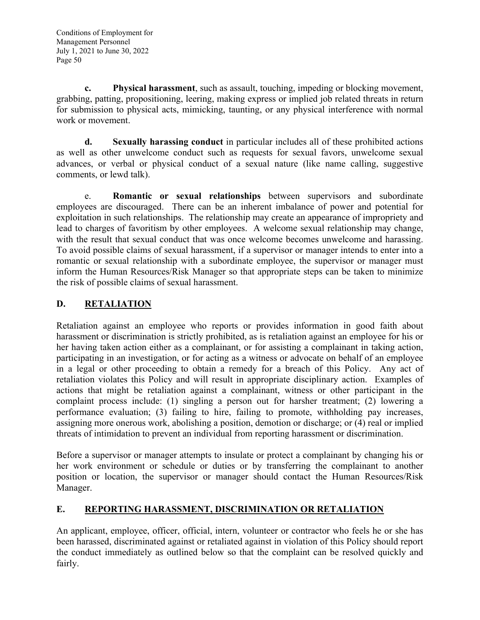**c. Physical harassment**, such as assault, touching, impeding or blocking movement, grabbing, patting, propositioning, leering, making express or implied job related threats in return for submission to physical acts, mimicking, taunting, or any physical interference with normal work or movement.

**d. Sexually harassing conduct** in particular includes all of these prohibited actions as well as other unwelcome conduct such as requests for sexual favors, unwelcome sexual advances, or verbal or physical conduct of a sexual nature (like name calling, suggestive comments, or lewd talk).

e. **Romantic or sexual relationships** between supervisors and subordinate employees are discouraged. There can be an inherent imbalance of power and potential for exploitation in such relationships. The relationship may create an appearance of impropriety and lead to charges of favoritism by other employees. A welcome sexual relationship may change, with the result that sexual conduct that was once welcome becomes unwelcome and harassing. To avoid possible claims of sexual harassment, if a supervisor or manager intends to enter into a romantic or sexual relationship with a subordinate employee, the supervisor or manager must inform the Human Resources/Risk Manager so that appropriate steps can be taken to minimize the risk of possible claims of sexual harassment.

# **D. RETALIATION**

Retaliation against an employee who reports or provides information in good faith about harassment or discrimination is strictly prohibited, as is retaliation against an employee for his or her having taken action either as a complainant, or for assisting a complainant in taking action, participating in an investigation, or for acting as a witness or advocate on behalf of an employee in a legal or other proceeding to obtain a remedy for a breach of this Policy. Any act of retaliation violates this Policy and will result in appropriate disciplinary action. Examples of actions that might be retaliation against a complainant, witness or other participant in the complaint process include: (1) singling a person out for harsher treatment; (2) lowering a performance evaluation; (3) failing to hire, failing to promote, withholding pay increases, assigning more onerous work, abolishing a position, demotion or discharge; or (4) real or implied threats of intimidation to prevent an individual from reporting harassment or discrimination.

Before a supervisor or manager attempts to insulate or protect a complainant by changing his or her work environment or schedule or duties or by transferring the complainant to another position or location, the supervisor or manager should contact the Human Resources/Risk Manager.

# **E. REPORTING HARASSMENT, DISCRIMINATION OR RETALIATION**

An applicant, employee, officer, official, intern, volunteer or contractor who feels he or she has been harassed, discriminated against or retaliated against in violation of this Policy should report the conduct immediately as outlined below so that the complaint can be resolved quickly and fairly.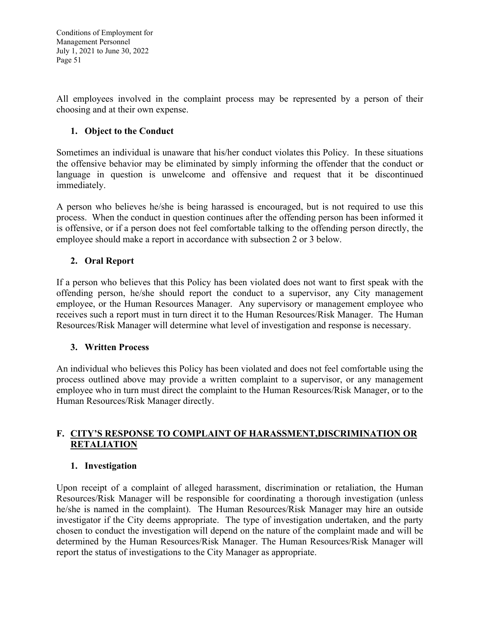All employees involved in the complaint process may be represented by a person of their choosing and at their own expense.

## **1. Object to the Conduct**

Sometimes an individual is unaware that his/her conduct violates this Policy. In these situations the offensive behavior may be eliminated by simply informing the offender that the conduct or language in question is unwelcome and offensive and request that it be discontinued immediately.

A person who believes he/she is being harassed is encouraged, but is not required to use this process. When the conduct in question continues after the offending person has been informed it is offensive, or if a person does not feel comfortable talking to the offending person directly, the employee should make a report in accordance with subsection 2 or 3 below.

## **2. Oral Report**

If a person who believes that this Policy has been violated does not want to first speak with the offending person, he/she should report the conduct to a supervisor, any City management employee, or the Human Resources Manager. Any supervisory or management employee who receives such a report must in turn direct it to the Human Resources/Risk Manager. The Human Resources/Risk Manager will determine what level of investigation and response is necessary.

## **3. Written Process**

An individual who believes this Policy has been violated and does not feel comfortable using the process outlined above may provide a written complaint to a supervisor, or any management employee who in turn must direct the complaint to the Human Resources/Risk Manager, or to the Human Resources/Risk Manager directly.

# **F. CITY'S RESPONSE TO COMPLAINT OF HARASSMENT,DISCRIMINATION OR RETALIATION**

#### **1. Investigation**

Upon receipt of a complaint of alleged harassment, discrimination or retaliation, the Human Resources/Risk Manager will be responsible for coordinating a thorough investigation (unless he/she is named in the complaint). The Human Resources/Risk Manager may hire an outside investigator if the City deems appropriate. The type of investigation undertaken, and the party chosen to conduct the investigation will depend on the nature of the complaint made and will be determined by the Human Resources/Risk Manager. The Human Resources/Risk Manager will report the status of investigations to the City Manager as appropriate.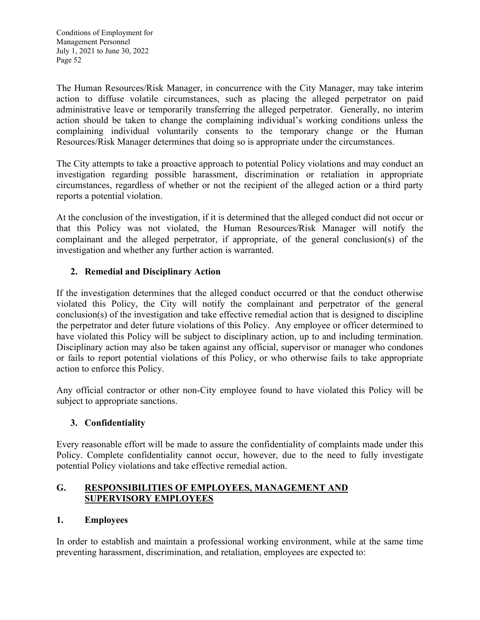The Human Resources/Risk Manager, in concurrence with the City Manager, may take interim action to diffuse volatile circumstances, such as placing the alleged perpetrator on paid administrative leave or temporarily transferring the alleged perpetrator. Generally, no interim action should be taken to change the complaining individual's working conditions unless the complaining individual voluntarily consents to the temporary change or the Human Resources/Risk Manager determines that doing so is appropriate under the circumstances.

The City attempts to take a proactive approach to potential Policy violations and may conduct an investigation regarding possible harassment, discrimination or retaliation in appropriate circumstances, regardless of whether or not the recipient of the alleged action or a third party reports a potential violation.

At the conclusion of the investigation, if it is determined that the alleged conduct did not occur or that this Policy was not violated, the Human Resources/Risk Manager will notify the complainant and the alleged perpetrator, if appropriate, of the general conclusion(s) of the investigation and whether any further action is warranted.

# **2. Remedial and Disciplinary Action**

If the investigation determines that the alleged conduct occurred or that the conduct otherwise violated this Policy, the City will notify the complainant and perpetrator of the general conclusion(s) of the investigation and take effective remedial action that is designed to discipline the perpetrator and deter future violations of this Policy. Any employee or officer determined to have violated this Policy will be subject to disciplinary action, up to and including termination. Disciplinary action may also be taken against any official, supervisor or manager who condones or fails to report potential violations of this Policy, or who otherwise fails to take appropriate action to enforce this Policy.

Any official contractor or other non-City employee found to have violated this Policy will be subject to appropriate sanctions.

## **3. Confidentiality**

Every reasonable effort will be made to assure the confidentiality of complaints made under this Policy. Complete confidentiality cannot occur, however, due to the need to fully investigate potential Policy violations and take effective remedial action.

## **G. RESPONSIBILITIES OF EMPLOYEES, MANAGEMENT AND SUPERVISORY EMPLOYEES**

## **1. Employees**

In order to establish and maintain a professional working environment, while at the same time preventing harassment, discrimination, and retaliation, employees are expected to: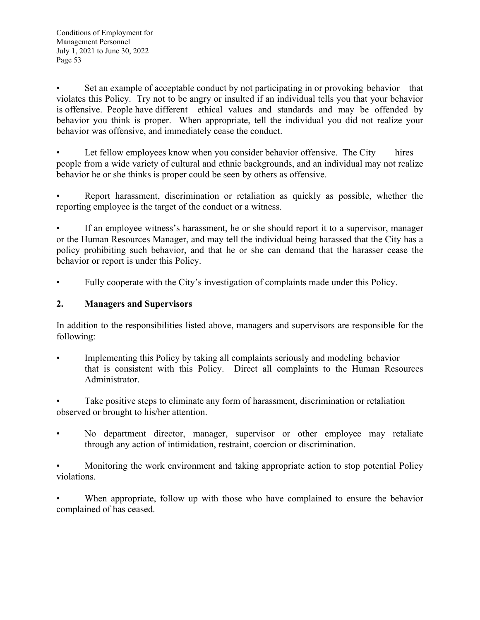Set an example of acceptable conduct by not participating in or provoking behavior that violates this Policy. Try not to be angry or insulted if an individual tells you that your behavior is offensive. People have different ethical values and standards and may be offended by behavior you think is proper. When appropriate, tell the individual you did not realize your behavior was offensive, and immediately cease the conduct.

Let fellow employees know when you consider behavior offensive. The City hires people from a wide variety of cultural and ethnic backgrounds, and an individual may not realize behavior he or she thinks is proper could be seen by others as offensive.

• Report harassment, discrimination or retaliation as quickly as possible, whether the reporting employee is the target of the conduct or a witness.

If an employee witness's harassment, he or she should report it to a supervisor, manager or the Human Resources Manager, and may tell the individual being harassed that the City has a policy prohibiting such behavior, and that he or she can demand that the harasser cease the behavior or report is under this Policy.

Fully cooperate with the City's investigation of complaints made under this Policy.

## **2. Managers and Supervisors**

In addition to the responsibilities listed above, managers and supervisors are responsible for the following:

• Implementing this Policy by taking all complaints seriously and modeling behavior that is consistent with this Policy. Direct all complaints to the Human Resources Administrator.

Take positive steps to eliminate any form of harassment, discrimination or retaliation observed or brought to his/her attention.

No department director, manager, supervisor or other employee may retaliate through any action of intimidation, restraint, coercion or discrimination.

• Monitoring the work environment and taking appropriate action to stop potential Policy violations.

When appropriate, follow up with those who have complained to ensure the behavior complained of has ceased.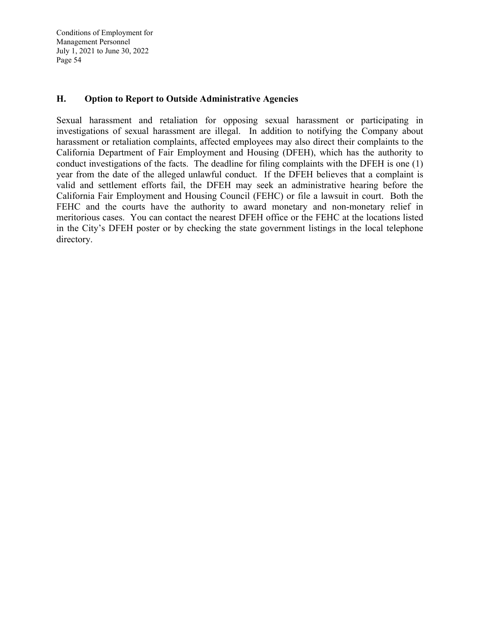#### **H. Option to Report to Outside Administrative Agencies**

Sexual harassment and retaliation for opposing sexual harassment or participating in investigations of sexual harassment are illegal. In addition to notifying the Company about harassment or retaliation complaints, affected employees may also direct their complaints to the California Department of Fair Employment and Housing (DFEH), which has the authority to conduct investigations of the facts. The deadline for filing complaints with the DFEH is one (1) year from the date of the alleged unlawful conduct. If the DFEH believes that a complaint is valid and settlement efforts fail, the DFEH may seek an administrative hearing before the California Fair Employment and Housing Council (FEHC) or file a lawsuit in court. Both the FEHC and the courts have the authority to award monetary and non-monetary relief in meritorious cases. You can contact the nearest DFEH office or the FEHC at the locations listed in the City's DFEH poster or by checking the state government listings in the local telephone directory.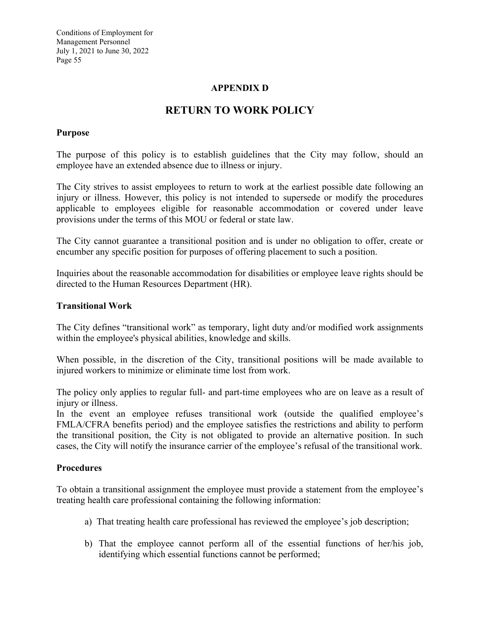## **APPENDIX D**

# **RETURN TO WORK POLICY**

#### **Purpose**

The purpose of this policy is to establish guidelines that the City may follow, should an employee have an extended absence due to illness or injury.

The City strives to assist employees to return to work at the earliest possible date following an injury or illness. However, this policy is not intended to supersede or modify the procedures applicable to employees eligible for reasonable accommodation or covered under leave provisions under the terms of this MOU or federal or state law.

The City cannot guarantee a transitional position and is under no obligation to offer, create or encumber any specific position for purposes of offering placement to such a position.

Inquiries about the reasonable accommodation for disabilities or employee leave rights should be directed to the Human Resources Department (HR).

#### **Transitional Work**

The City defines "transitional work" as temporary, light duty and/or modified work assignments within the employee's physical abilities, knowledge and skills.

When possible, in the discretion of the City, transitional positions will be made available to injured workers to minimize or eliminate time lost from work.

The policy only applies to regular full- and part-time employees who are on leave as a result of injury or illness.

In the event an employee refuses transitional work (outside the qualified employee's FMLA/CFRA benefits period) and the employee satisfies the restrictions and ability to perform the transitional position, the City is not obligated to provide an alternative position. In such cases, the City will notify the insurance carrier of the employee's refusal of the transitional work.

#### **Procedures**

To obtain a transitional assignment the employee must provide a statement from the employee's treating health care professional containing the following information:

- a) That treating health care professional has reviewed the employee's job description;
- b) That the employee cannot perform all of the essential functions of her/his job, identifying which essential functions cannot be performed;